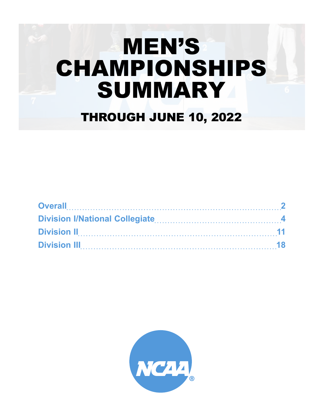# MEN'S CHAMPIONSHIPS SUMMARY THROUGH JUNE 10, 2022

| Overall 2                                           |  |
|-----------------------------------------------------|--|
| Division I/National Collegiate Material According A |  |
|                                                     |  |
|                                                     |  |

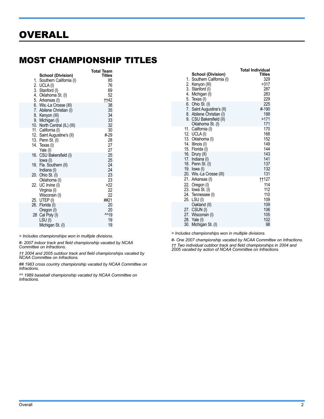#### <span id="page-1-0"></span>MOST CHAMPIONSHIP TITLES

|     |                              | <b>Total Team</b> |
|-----|------------------------------|-------------------|
|     | <b>School (Division)</b>     | <b>Titles</b>     |
| 1.  | Southern California (I)      | 85                |
|     | 2. UCLA(I)                   | 76                |
|     | 3. Stanford (I)              | 69                |
|     | 4. Oklahoma St. (I)          | 52                |
|     | 5. Arkansas (I)              | <b>tt42</b>       |
|     | 6. Wis.-La Crosse (III)      | 38                |
|     | 7. Abilene Christian (I)     | 35                |
|     | 8. Kenyon (III)              | 34                |
|     | 9. Michigan (I)              | 33                |
|     | 10. North Central (IL) (III) | 32                |
|     | 11. California (I)           | 30                |
|     | 12. Saint Augustine's (II)   | #-29              |
|     | 13. Penn St. (I)             | 28                |
| 14. | Texas (I)                    | 27                |
|     | Yale (I)                     | 27                |
| 16. | CSU Bakersfield (I)          | 25                |
|     | lowa (I)                     | 25                |
| 18. | Fla. Southern (II)           | 24                |
|     | Indiana (I)                  | 24                |
| 20. | Ohio St. (I)                 | 23                |
|     | Oklahoma (I)                 | 23                |
|     | 22. UC Irvine (I)            | >22               |
|     | Virginia (I)                 | 22                |
|     | Wisconsin (I)                | 22                |
|     | 25. UTEP (I)                 | ##21              |
| 26. | Florida (I)                  | 20                |
|     | Oregon (I)                   | 20                |
| 28  | Cal Poly (I)                 | ^^19              |
|     | LSU(I)                       | 19                |
|     | Michigan St. (I)             | 19                |

*> Includes championships won in multiple divisions.*

*#- 2007 indoor track and field championship vacated by NCAA Committee on Infractions.*

*†† 2004 and 2005 outdoor track and field championships vacated by NCAA Committee on Infractions.*

*## 1983 cross country championship vacated by NCAA Committee on Infractions.*

*^^ 1989 baseball championship vacated by NCAA Committee on Infractions.*

|                               | Total Individual |
|-------------------------------|------------------|
| <b>School (Division)</b>      | Titles           |
| 1.<br>Southern California (I) | 329              |
| 2. Kenyon (III)               | >317             |
| 3. Stanford (I)               | 287              |
| 4.<br>Michigan (I)            | 283              |
| 5. Texas (I)                  | 229              |
| 6.<br>Ohio St. (I)            | 225              |
| 7. Saint Augustine's (II)     | #190             |
| 8. Abilene Christian (I)      | 188              |
| 9. CSU Bakersfield (II)       | >171             |
| Oklahoma St. (I)              | 171              |
| 11.<br>California (I)         | 170              |
| 12. UCLA (I)                  | 168              |
| 13. Oklahoma (I)              | 152              |
| 14. Illinois (I)              | 149              |
| 15. Florida (I)               | 144              |
| 16. Drury (II)                | 143              |
| 17. Indiana (I)               | 141              |
| 18. Penn St. (I)              | 137              |
| 19. Iowa (I)                  | 132              |
| 20. Wis.-La Crosse (III)      | 131              |
| 21. Arkansas (I)              | <b>tt127</b>     |
| 22. Oregon (I)                | 114              |
| 23. Iowa St. (I)              | 112              |
| 24. Tennessee (I)             | 110              |
| 25.<br>LSU(I)                 | 109              |
| Oakland (II)                  | 109              |
| 27. CSUN (I)                  | 106              |
| 27. Wisconsin (I)             | 105              |
| 28. Yale (I)                  | 102              |
| 30.<br>Michigan St. (I)       | 98               |
|                               |                  |

*> Includes championships won in multiple divisions.*

*#- One 2007 championship vacated by NCAA Committee on Infractions. †† Two individual outdoor track and field championships in 2004 and 2005 vacated by action of NCAA Committee on Infractions.*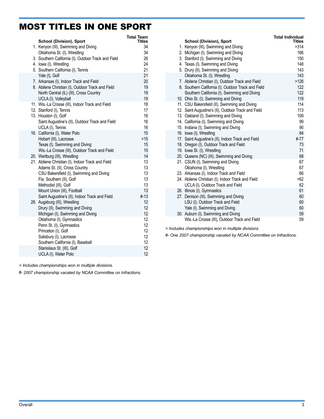#### MOST TITLES IN ONE SPORT

|  | <b>School (Division), Sport</b>                                      | Total Team<br>Titles |
|--|----------------------------------------------------------------------|----------------------|
|  | 1. Kenyon (III), Swimming and Diving                                 | 34                   |
|  | Oklahoma St. (I), Wrestling                                          | 34                   |
|  | 3. Southern California (I), Outdoor Track and Field                  | 26                   |
|  | 4. Iowa (I), Wrestling                                               | 24                   |
|  | 5. Southern California (I), Tennis                                   | 21                   |
|  | Yale (I), Golf                                                       | 21                   |
|  | 7. Arkansas (I), Indoor Track and Field                              | 20                   |
|  | 8. Abilene Christian (I), Outdoor Track and Field                    | 19                   |
|  | North Central (IL) (III), Cross Country                              | 19                   |
|  | UCLA (I), Volleyball                                                 | 19                   |
|  | 11. Wis.-La Crosse (III), Indoor Track and Field                     | 18                   |
|  | 12. Stanford (I), Tennis                                             | 17                   |
|  | 13. Houston (I), Golf                                                | 16<br>16             |
|  | Saint Augustine's (II), Outdoor Track and Field<br>UCLA (I), Tennis  | 16                   |
|  | 16. California (I), Water Polo                                       | 15                   |
|  | Hobart (III), Lacrosse                                               | $>15$                |
|  | Texas (I), Swimming and Diving                                       | 15                   |
|  | Wis.-La Crosse (III), Outdoor Track and Field                        | 15                   |
|  | 20. Wartburg (III), Wrestling                                        | 14                   |
|  | 21. Abilene Christian (I), Indoor Track and Field                    | 13                   |
|  | Adams St. (II), Cross Country                                        | 13                   |
|  | CSU Bakersfield (I), Swimming and Diving                             | 13                   |
|  | Fla. Southern (II), Golf                                             | 13                   |
|  | Methodist (III), Golf                                                | 13                   |
|  | Mount Union (III), Football                                          | 13                   |
|  | Saint Augustine's (II), Indoor Track and Field                       | #13                  |
|  | 28. Augsburg (III), Wrestling                                        | 12<br>12             |
|  | Drury (II), Swimming and Diving<br>Michigan (I), Swimming and Diving | 12                   |
|  | Oklahoma (I), Gymnastics                                             | 12                   |
|  | Penn St. (I), Gymnastics                                             | 12                   |
|  | Princeton (I), Golf                                                  | 12                   |
|  | Salisbury (I), Lacrosse                                              | 12                   |
|  | Southern California (I), Baseball                                    | 12                   |
|  | Stanislaus St. (III), Golf                                           | 12                   |
|  | UCLA (I), Water Polo                                                 | 12                   |
|  |                                                                      |                      |

*> Includes championships won in multiple divisions.*

#- *2007 championship vacated by NCAA Committee on Infractions.*

|     |                                                                                      | <b>Total Individual</b> |
|-----|--------------------------------------------------------------------------------------|-------------------------|
|     | <b>School (Division), Sport</b>                                                      | <b>Titles</b>           |
|     | 1. Kenyon (III), Swimming and Diving                                                 | >314                    |
|     | 2. Michigan (I), Swimming and Diving                                                 | 166<br>150              |
|     | 3. Stanford (I), Swimming and Diving<br>4. Texas (I), Swimming and Diving            | 148                     |
|     | 5. Drury (II), Swimming and Diving                                                   | 143                     |
|     | Oklahoma St. (I), Wrestling                                                          | 143                     |
|     | 7. Abilene Christian (I), Outdoor Track and Field                                    | >126                    |
|     | 8. Southern California (I), Outdoor Track and Field                                  | 122                     |
|     | Southern California (I), Swimming and Diving                                         | 122                     |
|     | 10. Ohio St. (I), Swimming and Diving                                                | 119                     |
|     | 11. CSU Bakersfield (II), Swimming and Diving                                        | 114                     |
|     | 12. Saint Augustine's (II), Outdoor Track and Field                                  | 113                     |
|     | 13. Oakland (I), Swimming and Diving                                                 | 109                     |
|     | 14. California (I), Swimming and Diving                                              | 99                      |
|     | 15. Indiana (I), Swimming and Diving                                                 | 90                      |
|     | 16. Iowa (I), Wrestling                                                              | 84                      |
|     | 17. Saint Augustine's (II), Indoor Track and Field                                   | #-77                    |
|     | 18. Oregon (I), Outdoor Track and Field                                              | 73                      |
|     | 19. Iowa St. (I), Wrestling                                                          | 71                      |
|     | 20. Queens (NC) (III), Swimming and Diving                                           | 68                      |
|     | 21. CSUN (I), Swimming and Diving                                                    | 67                      |
|     | Oklahoma (I), Wrestling                                                              | 67                      |
|     | 23. Arkansas (I), Indoor Track and Field                                             | 66                      |
|     | 24. Abilene Christian (I), Indoor Track and Field                                    | >62                     |
|     | UCLA (I), Outdoor Track and Field                                                    | 62                      |
|     | 26. Illinois (I), Gymnastics                                                         | 61                      |
| 27. | Denison (III), Swimming and Diving                                                   | 60                      |
|     | LSU (I), Outdoor Track and Field                                                     | 60                      |
|     | Yale (I), Swimming and Diving                                                        | 60                      |
|     | 30. Auburn (I), Swimming and Diving<br>Wis.-La Crosse (III), Outdoor Track and Field | 59<br>59                |
|     |                                                                                      |                         |

*> Includes championships won in multiple divisions.*

*#- One 2007 championship vacated by NCAA Committee on Infractions.*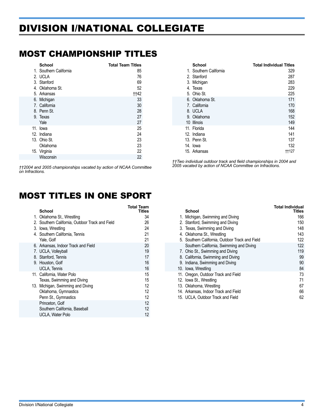# <span id="page-3-0"></span>DIVISION I/NATIONAL COLLEGIATE

#### MOST CHAMPIONSHIP TITLES

| <b>School</b>          | <b>Total Team Titles</b> |
|------------------------|--------------------------|
| 1. Southern California | 85                       |
| 2. UCLA                | 76                       |
| 3. Stanford            | 69                       |
| 4. Oklahoma St.        | 52                       |
| 5. Arkansas            | ††42                     |
| 6. Michigan            | 33                       |
| 7. California          | 30                       |
| 8. Penn St.            | 28                       |
| 9. Texas               | 27                       |
| Yale                   | 27                       |
| 11. Iowa               | 25                       |
| 12. Indiana            | 24                       |
| 13. Ohio St.           | 23                       |
| Oklahoma               | 23                       |
| 15. Virginia           | 22                       |
| Wisconsin              | 22                       |

*††2004 and 2005 championships vacated by action of NCAA Committee on Infractions.*

#### MOST TITLES IN ONE SPORT

| <b>School</b>                                   | Total Team<br>Titles |
|-------------------------------------------------|----------------------|
| 1. Oklahoma St., Wrestling                      | 34                   |
| 2. Southern California, Outdoor Track and Field | 26                   |
| 3. Iowa, Wrestling                              | 24                   |
| 4. Southern California, Tennis                  | 21                   |
| Yale, Golf                                      | 21                   |
| 6. Arkansas, Indoor Track and Field             | 20                   |
| 7. UCLA, Volleyball                             | 19                   |
| 8. Stanford, Tennis                             | 17                   |
| 9. Houston, Golf                                | 16                   |
| <b>UCLA, Tennis</b>                             | 16                   |
| 11. California, Water Polo                      | 15                   |
| Texas, Swimming and Diving                      | 15                   |
| 13. Michigan, Swimming and Diving               | 12                   |
| Oklahoma, Gymnastics                            | 12                   |
| Penn St., Gymnastics                            | 12                   |
| Princeton, Golf                                 | 12                   |
| Southern California, Baseball                   | 12                   |
| UCLA, Water Polo                                | 12                   |

| School                 | <b>Total Individual Titles</b> |
|------------------------|--------------------------------|
| 1. Southern California | 329                            |
| 2. Stanford            | 287                            |
| 3. Michigan            | 283                            |
| 4. Texas               | 229                            |
| 5. Ohio St.            | 225                            |
| 6. Oklahoma St.        | 171                            |
| 7. California          | 170                            |
| 8. UCLA                | 168                            |
| 9. Oklahoma            | 152                            |
| 10 Illinois            | 149                            |
| 11. Florida            | 144                            |
| 12. Indiana            | 141                            |
| 13. Penn St.           | 137                            |
| 14. lowa               | 132                            |
| 15. Arkansas           | ††127                          |

*††Two individual outdoor track and field championships in 2004 and 2005 vacated by action of NCAA Committee on Infractions.*

| <b>School</b>                                   | Total Individual<br>Titles |
|-------------------------------------------------|----------------------------|
| 1. Michigan, Swimming and Diving                | 166                        |
| 2. Stanford, Swimming and Diving                | 150                        |
| 3. Texas, Swimming and Diving                   | 148                        |
| 4. Oklahoma St., Wrestling                      | 143                        |
| 5. Southern California, Outdoor Track and Field | 122                        |
| Southern California, Swimming and Diving        | 122                        |
| 7. Ohio St., Swimming and Diving                | 119                        |
| 8. California, Swimming and Diving              | 99                         |
| 9. Indiana, Swimming and Diving                 | 90                         |
| 10. Iowa, Wrestling                             | 84                         |
| 11. Oregon, Outdoor Track and Field             | 73                         |
| 12. Iowa St., Wrestling                         | 71                         |
| 13. Oklahoma, Wrestling                         | 67                         |
| 14. Arkansas, Indoor Track and Field            | 66                         |
| 15. UCLA, Outdoor Track and Field               | 62                         |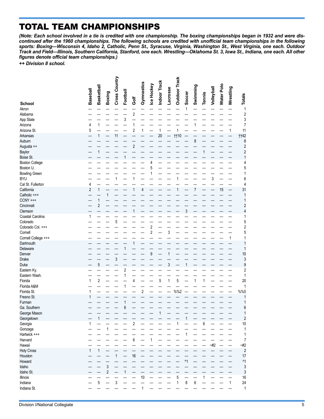# TOTAL TEAM CHAMPIONSHIPS

*(Note: Each school involved in a tie is credited with one championship. The boxing championships began in 1932 and were discontinued after the 1960 championships. The following schools are credited with unofficial team championships in the following sports: Boxing—Wisconsin 4, Idaho 2, Catholic, Penn St., Syracuse, Virginia, Washington St., West Virginia, one each. Outdoor Track and Field—Illinois, Southern California, Stanford, one each. Wrestling—Oklahoma St. 3, Iowa St., Indiana, one each. All other figures denote official team championships.)*

*++ Division II school.*

|                       | <b>Baseball</b> | Basketball     | <b>Boxing</b>  | Cross Country | Football | Ğ              | Gymnastics | Ice Hockey     | Indoor Track | <b>Lacrosse</b> | <b>Outdoor Track</b> | Soccer      | Swimming         | Tennis | Volleyball | Water Polo | Wrestling | <b>Totals</b>           |
|-----------------------|-----------------|----------------|----------------|---------------|----------|----------------|------------|----------------|--------------|-----------------|----------------------|-------------|------------------|--------|------------|------------|-----------|-------------------------|
| <b>School</b>         |                 |                |                |               |          |                |            |                |              |                 |                      |             |                  |        |            |            |           |                         |
| Akron                 |                 |                |                |               |          |                |            |                |              |                 |                      | 1           |                  |        |            |            |           | $\mathbf{1}$            |
| Alabama               |                 |                |                |               |          | $\overline{c}$ |            |                |              |                 |                      |             |                  |        |            |            |           | $\overline{\mathbf{c}}$ |
| App State             |                 |                |                |               | 3        |                |            |                |              |                 |                      |             |                  |        |            |            |           | 3                       |
| Arizona               | 4               | $\mathbf{1}$   |                |               |          | 1              |            |                |              |                 |                      |             | 1                |        |            |            |           | 7                       |
| Arizona St.           | 5               |                |                |               |          | 2              | 1          |                | 1            |                 | 1                    |             |                  |        |            |            | 1         | 11                      |
| Arkansas              |                 | 1              |                | 11            |          |                |            |                | 20           |                 | <b>††10</b>          |             |                  |        |            |            |           | <b>tt42</b>             |
| Auburn                |                 |                |                |               |          |                |            |                |              |                 |                      |             | 8                |        |            |            |           | 8                       |
| Augusta ++            |                 |                |                |               |          | $\sqrt{2}$     |            |                |              |                 |                      |             |                  |        |            |            |           | $\overline{\mathbf{c}}$ |
| Baylor                |                 | 1              |                |               |          |                |            |                |              |                 |                      |             |                  |        |            |            |           | $\overline{c}$          |
| Boise St.             |                 |                |                |               |          |                |            |                |              |                 |                      |             |                  |        |            |            |           | 1                       |
| <b>Boston College</b> |                 |                |                |               |          |                |            | 4              |              |                 |                      |             |                  |        |            |            |           | 4                       |
| Boston U.             |                 |                |                |               |          |                |            | 5              |              |                 |                      |             |                  |        |            |            |           | 5                       |
| <b>Bowling Green</b>  |                 |                |                |               |          |                |            | 1              |              |                 |                      |             |                  |        |            |            |           | 1                       |
| <b>BYU</b>            |                 |                |                | 1             |          | 1              |            |                |              |                 | 1                    |             |                  |        | 3          |            |           | 6                       |
| Cal St. Fullerton     | 4               |                |                |               |          |                |            |                |              |                 |                      |             |                  |        |            |            |           | 4                       |
| California            | $\overline{2}$  | $\mathbf{1}$   |                |               |          | 1              | 4          |                |              |                 | 1                    |             | 7                |        |            | 15         |           | 31                      |
| Catholic +++          |                 |                | 1              |               |          |                |            |                |              |                 |                      |             |                  |        |            |            |           | 1                       |
| $CCNY$ +++            |                 | 1              |                |               |          |                |            |                |              |                 |                      |             |                  |        |            |            |           | 1                       |
|                       |                 |                |                |               |          |                |            |                |              |                 |                      |             |                  |        |            |            |           |                         |
| Cincinnati            |                 | $\overline{2}$ |                |               |          |                |            |                |              |                 |                      |             |                  |        |            |            |           | $\overline{\mathbf{c}}$ |
| Clemson               |                 |                |                |               |          |                |            |                |              |                 |                      | 3           |                  |        |            |            |           | 4                       |
| Coastal Carolina      | 1               |                |                |               |          |                |            |                |              |                 |                      |             |                  |        |            |            |           | 1                       |
| Colorado              |                 |                |                | 5             |          |                |            |                |              |                 |                      |             |                  |        |            |            |           | 5                       |
| Colorado Col. +++     |                 |                |                |               |          |                |            | $\overline{2}$ |              |                 |                      |             |                  |        |            |            |           | $\overline{c}$          |
| Cornell               |                 |                |                |               |          |                |            | $\overline{2}$ |              | 3               |                      |             |                  |        |            |            |           | 5                       |
| Cornell College +++   |                 |                |                |               |          |                |            |                |              |                 |                      |             |                  |        |            |            | 1         | 1                       |
| Dartmouth             |                 |                |                |               |          |                |            |                |              |                 |                      |             |                  |        |            |            |           | 1                       |
| Delaware              |                 |                |                |               | 1        |                |            |                |              |                 |                      |             |                  |        |            |            |           | 1                       |
| Denver                |                 |                |                |               |          |                |            | 9              |              | 1               |                      |             |                  |        |            |            |           | 10                      |
| Drake                 |                 |                |                | 3             |          |                |            |                |              |                 |                      |             |                  |        |            |            |           | 3                       |
| Duke                  |                 | 5              |                |               |          |                |            |                |              | 3               |                      | 1           |                  |        |            |            |           | 9                       |
| Eastern Ky.           |                 |                |                |               | 2        |                |            |                |              |                 |                      |             |                  |        |            |            |           | $\overline{c}$          |
| Eastern Wash.         |                 |                |                |               | 1        |                |            |                |              |                 |                      |             |                  |        |            |            |           | 1                       |
| Florida               | 1               | $\overline{c}$ |                |               |          | 4              |            |                | 5            | 1               | 5                    |             | 1                | 1      |            |            |           | 20                      |
| Florida A&M           |                 |                |                |               | 1        |                |            |                |              |                 |                      |             |                  |        |            |            |           | 1                       |
| Florida St.           | 1               |                |                |               |          |                | $\sqrt{2}$ |                |              |                 | %%2                  |             |                  |        |            |            |           | %%                      |
| Fresno St.            | 1               |                |                |               |          |                |            |                |              |                 |                      |             |                  |        |            |            |           | 1                       |
| Furman                |                 |                |                |               | 1        |                |            |                |              |                 |                      |             |                  |        |            |            |           | 1                       |
| Ga. Southern          |                 |                |                |               | 6        |                |            |                |              |                 |                      |             |                  |        |            |            |           | 6                       |
| George Mason          |                 |                |                |               |          |                |            |                |              |                 |                      |             |                  |        |            |            |           |                         |
| Georgetown            |                 | 1              |                |               |          |                |            |                |              |                 |                      | 1           |                  |        |            |            |           | $\overline{\mathbf{c}}$ |
| Georgia               | 1               |                |                |               |          | $\overline{c}$ |            |                |              |                 | 1                    |             |                  |        |            |            |           | 10                      |
|                       |                 |                | 1              |               |          |                |            |                |              |                 |                      |             |                  | 6      |            |            |           |                         |
| Gonzaga               |                 |                |                |               |          |                |            |                |              |                 |                      |             |                  |        |            |            |           | 1                       |
| Hartwick +++          |                 |                |                |               |          |                |            |                |              |                 |                      | 1           |                  |        |            |            |           | 1                       |
| Harvard               |                 |                |                |               |          | 6              |            | 1              |              |                 |                      |             |                  |        |            |            |           | 7                       |
| Hawaii                |                 |                |                |               |          |                |            |                |              |                 |                      |             |                  |        | $-#2$      |            |           | $-#2$                   |
| <b>Holy Cross</b>     | $\mathbf{1}$    | $\mathbf{1}$   |                |               |          |                |            |                |              |                 |                      |             |                  |        |            |            |           | $\overline{c}$          |
| Houston               |                 |                |                | $\mathbf{1}$  |          | 16             |            |                |              |                 |                      |             |                  |        |            |            |           | 17                      |
| Howard                |                 |                |                |               |          |                |            |                |              |                 |                      | $^{\prime}$ |                  |        |            |            |           | $\mathsf{M}$            |
| Idaho                 |                 |                | 3              |               |          |                |            |                |              |                 |                      |             |                  |        |            |            |           | 3                       |
| Idaho St.             |                 |                | $\overline{2}$ |               | 1        |                |            |                |              |                 |                      |             |                  |        |            |            |           | 3                       |
| Illinois              |                 |                |                |               |          |                | 10         |                |              |                 | 5                    |             |                  | 1      |            |            |           | 16                      |
| Indiana               |                 | 5              |                | 3             |          |                |            |                |              |                 | $\mathbf{1}$         | 8           | $\boldsymbol{6}$ |        |            |            | 1         | 24                      |
| Indiana St.           |                 |                |                |               |          |                | 1          |                |              |                 |                      |             |                  |        |            |            |           | $\mathbf{1}$            |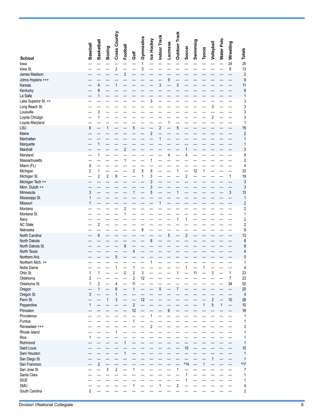|                                        | Baseball       | <b>Basketball</b>       | Boxing                  | Cross Country           | Football       |                              | Gymnastics        | Ice Hockey              | Indoor Track            | Lacrosse | <b>Outdoor Track</b> | Soccer                  | Swimming | <b>Tennis</b> | Volleyball      | Water Polo   | Wrestling                        | <b>Totals</b>                           |
|----------------------------------------|----------------|-------------------------|-------------------------|-------------------------|----------------|------------------------------|-------------------|-------------------------|-------------------------|----------|----------------------|-------------------------|----------|---------------|-----------------|--------------|----------------------------------|-----------------------------------------|
| <b>School</b>                          |                |                         |                         |                         |                | Ğ                            |                   |                         |                         |          |                      |                         |          |               |                 |              |                                  |                                         |
| lowa<br>lowa St.                       |                |                         |                         | $\overline{\mathbf{c}}$ |                |                              | $\mathbf{1}$<br>3 |                         |                         |          |                      |                         |          |               |                 |              | 24<br>8                          | 13                                      |
| James Madison                          |                |                         |                         |                         | $\overline{c}$ |                              |                   |                         |                         |          |                      |                         |          |               |                 |              |                                  | $\overline{\mathbf{c}}$                 |
| Johns Hopkins +++                      |                |                         |                         |                         |                |                              |                   |                         |                         | 9        |                      |                         |          |               |                 |              |                                  | 9                                       |
| Kansas                                 |                | 4                       |                         | 1                       |                |                              |                   |                         | 3                       |          | 3                    |                         |          |               |                 |              |                                  | 11                                      |
| Kentucky                               |                | 8                       |                         |                         |                |                              |                   |                         |                         |          |                      |                         |          |               |                 |              |                                  | 8                                       |
| La Salle                               |                | 1                       |                         |                         |                |                              |                   | 3                       |                         |          |                      |                         |          |               |                 |              |                                  | 1                                       |
| Lake Superior St. ++<br>Long Beach St. |                |                         |                         |                         |                |                              |                   |                         |                         |          |                      |                         |          |               | 3               |              |                                  | 3<br>3                                  |
| Louisville                             |                | 3                       |                         |                         |                |                              |                   |                         |                         |          |                      |                         |          |               |                 |              |                                  | 3                                       |
| Loyola Chicago                         |                | 1                       |                         |                         |                |                              |                   |                         |                         |          |                      |                         |          |               | $\overline{2}$  |              |                                  | 3                                       |
| Loyola Maryland                        |                |                         |                         |                         |                |                              |                   |                         |                         | 1        |                      |                         |          |               |                 |              |                                  | 1                                       |
| LSU<br>Maine                           | 6              |                         | 1                       |                         |                | 5                            |                   |                         | $\overline{\mathbf{c}}$ |          | 5                    |                         |          |               |                 |              |                                  | 19                                      |
| Manhattan                              |                |                         |                         |                         |                |                              |                   | $\overline{\mathbf{c}}$ | 1                       |          |                      |                         |          |               |                 |              |                                  | $\overline{\mathbf{c}}$<br>1            |
| Marquette                              |                | $\mathbf{1}$            |                         |                         |                |                              |                   |                         |                         |          |                      |                         |          |               |                 |              |                                  | 1                                       |
| Marshall                               |                |                         |                         |                         | $\overline{c}$ |                              |                   |                         |                         |          |                      | 1                       |          |               |                 |              |                                  | 3                                       |
| Maryland                               |                | 1                       |                         |                         |                |                              |                   |                         |                         | 4        |                      | 4                       |          |               |                 |              |                                  | 9                                       |
| Massachusetts                          |                |                         |                         |                         | 1              |                              |                   | 1                       |                         |          |                      |                         |          |               |                 |              |                                  | $\overline{\mathbf{c}}$                 |
| Miami (FL)<br>Michigan                 | 4<br>2         | $\mathbf{1}$            |                         |                         |                | 2                            | 5                 | 9                       |                         |          | $\mathbf 1$          |                         | 12       | 1             |                 |              |                                  | $\overline{\mathcal{L}}$<br>33          |
| Michigan St.                           |                | $\overline{\mathbf{c}}$ | $\overline{\mathbf{c}}$ | 8                       |                |                              | 1                 | 3                       |                         |          |                      | $\sqrt{2}$              |          |               |                 |              | 1                                | 19                                      |
| Michigan Tech ++                       |                |                         |                         |                         |                |                              |                   | 3                       |                         |          |                      |                         |          |               |                 |              |                                  | 3                                       |
| Minn. Duluth ++                        |                |                         |                         |                         |                |                              |                   | 3                       |                         |          |                      |                         |          |               |                 |              |                                  | 3                                       |
| Minnesota                              | 3              |                         |                         |                         |                |                              |                   | 5                       |                         |          | 1                    |                         |          |               |                 |              | 3                                | 13                                      |
| Mississippi St.<br>Missouri            | 1<br>1         |                         |                         |                         |                |                              |                   |                         | 1                       |          |                      |                         |          |               |                 |              |                                  | $\mathbf{1}$<br>$\overline{\mathbf{c}}$ |
| Montana                                |                |                         |                         |                         | $\overline{c}$ |                              |                   |                         |                         |          |                      |                         |          |               |                 |              |                                  | $\overline{c}$                          |
| Montana St.                            |                |                         |                         |                         | 1              |                              |                   |                         |                         |          |                      |                         |          |               |                 |              |                                  | 1                                       |
| Navy                                   |                |                         |                         |                         |                |                              |                   |                         |                         |          | 1                    | 1                       |          |               |                 |              |                                  | $\overline{\mathbf{c}}$                 |
| <b>NC State</b>                        |                | $\overline{\mathbf{c}}$ |                         |                         |                |                              |                   |                         |                         |          |                      |                         |          |               |                 |              |                                  | $\overline{c}$                          |
| Nebraska<br>North Carolina             |                | 6                       |                         |                         |                |                              | 8                 |                         |                         | 5        |                      | $\overline{\mathbf{c}}$ |          |               |                 |              |                                  | 8<br>13                                 |
| North Dakota                           |                |                         |                         |                         |                |                              |                   | 8                       |                         |          |                      |                         |          |               |                 |              |                                  | 8                                       |
| North Dakota St.                       |                |                         |                         |                         | 9              |                              |                   |                         |                         |          |                      |                         |          |               |                 |              |                                  | 9                                       |
| North Texas                            |                |                         |                         |                         |                | 4                            |                   |                         |                         |          |                      |                         |          |               |                 |              |                                  | 4                                       |
| Northern Ariz.                         |                |                         |                         | 5                       |                |                              |                   |                         |                         |          |                      |                         |          |               |                 |              |                                  | 5                                       |
| Northern Mich. ++                      |                |                         |                         | 1                       |                |                              |                   | 1                       |                         |          |                      | 1                       |          | 1             |                 |              |                                  | 1<br>4                                  |
| Notre Dame<br>Ohio St.                 | 1              | 1                       |                         |                         | 0              | 1<br>$\overline{\mathbf{c}}$ | 3                 |                         |                         |          | 1                    |                         | 11       |               | 3               |              | 1                                | 23                                      |
| Oklahoma                               | 2              |                         |                         |                         |                | $\overline{c}$               | 12                |                         |                         |          |                      |                         |          |               |                 |              | $\overline{7}$                   | 23                                      |
| Oklahoma St.                           | 1              | $\sqrt{2}$              |                         | 4                       |                | 11                           |                   |                         |                         |          |                      |                         |          |               |                 |              | 34                               | 52                                      |
| Oregon                                 |                | $\mathbf{1}$            |                         | 6                       |                | 1                            |                   |                         | 5                       |          | $\boldsymbol{7}$     |                         |          |               |                 |              |                                  | 20                                      |
| Oregon St.<br>Penn St.                 | 3              |                         |                         | 1                       |                |                              |                   |                         |                         |          |                      |                         |          |               |                 |              |                                  | $\overline{\mathcal{L}}$                |
| Pepperdine                             | 1              |                         | $\mathbf{1}$            | 3                       |                | $\overline{c}$               | 12                |                         |                         |          |                      |                         |          | 1             | $\sqrt{2}$<br>5 | $\mathbf{1}$ | $10$<br>$\overline{\phantom{0}}$ | 28<br>10                                |
| Princeton                              |                |                         |                         |                         |                | 12                           |                   |                         |                         | 6        |                      |                         |          |               |                 |              |                                  | 18                                      |
| Providence                             |                |                         |                         |                         |                |                              |                   | 1                       |                         |          |                      |                         |          |               |                 |              |                                  | 1                                       |
| Purdue                                 |                |                         |                         |                         |                | 1                            |                   |                         |                         |          |                      |                         |          |               |                 |              |                                  | 1                                       |
| Rensselaer +++                         |                |                         |                         |                         |                |                              |                   | $\sqrt{2}$              |                         |          |                      |                         |          |               |                 |              |                                  | $\overline{\mathbf{c}}$                 |
| Rhode Island<br>Rice                   | 1              |                         |                         | 1                       |                |                              |                   |                         |                         |          |                      |                         |          |               |                 |              |                                  | 1<br>1                                  |
| Richmond                               |                |                         |                         |                         | 1              |                              |                   |                         |                         |          |                      |                         |          |               |                 |              |                                  | 1                                       |
| Saint Louis                            |                |                         |                         |                         |                |                              |                   |                         |                         |          |                      | 10                      |          |               |                 |              |                                  | 10                                      |
| Sam Houston                            |                |                         |                         |                         | 1              |                              |                   |                         |                         |          |                      |                         |          |               |                 |              |                                  | 1                                       |
| San Diego St.                          |                |                         |                         |                         |                |                              |                   |                         |                         |          |                      |                         |          |               | 1               |              |                                  | 1                                       |
| San Francisco                          |                | $\overline{2}$          |                         |                         |                |                              |                   |                         |                         |          |                      | $M_{4}$                 |          | $\mathbf{1}$  |                 |              |                                  | M7                                      |
| San Jose St.<br>Santa Clara            |                |                         | 3                       | $\overline{\mathbf{c}}$ |                | 1                            |                   |                         |                         |          | 1                    | 1                       |          |               |                 |              |                                  | 7<br>1                                  |
| SIUE                                   |                |                         |                         |                         |                |                              |                   |                         |                         |          |                      | 1                       |          |               |                 |              |                                  | 1                                       |
| SMU                                    |                |                         |                         |                         |                |                              |                   |                         | 1                       |          | $\sqrt{2}$           |                         |          |               |                 |              |                                  | 4                                       |
| South Carolina                         | $\overline{2}$ |                         |                         |                         |                |                              |                   |                         |                         |          |                      |                         |          |               |                 |              |                                  | $\overline{c}$                          |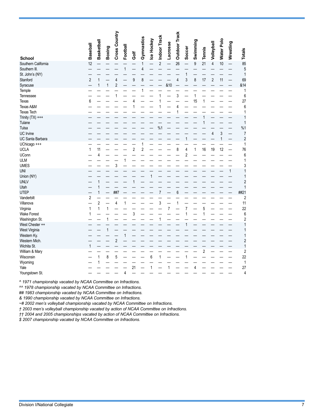|                     | <b>Baseball</b> | <b>Basketball</b> | <b>Boxing</b> | Cross Country           | Football       | Ğof | Gymnastics   | Ice Hockey | Indoor Track   | <b>Lacrosse</b> | <b>Outdoor Track</b>    | Soccer | Swimming         | Tennis | Volleyball     | <b>Water Polo</b> | Wrestling                | <b>Totals</b>           |
|---------------------|-----------------|-------------------|---------------|-------------------------|----------------|-----|--------------|------------|----------------|-----------------|-------------------------|--------|------------------|--------|----------------|-------------------|--------------------------|-------------------------|
| <b>School</b>       |                 |                   |               |                         |                |     |              |            |                |                 |                         |        |                  |        |                |                   |                          |                         |
| Southern California | 12              |                   |               |                         |                |     | $\mathbf{1}$ |            | $\overline{2}$ | $\overline{a}$  | 26                      |        | $\boldsymbol{9}$ | 21     | $\overline{4}$ | 10                | $\overline{\phantom{0}}$ | 85                      |
| Southern III.       |                 |                   |               |                         | $\mathbf{1}$   |     | 4            |            |                |                 |                         |        |                  |        |                |                   |                          | 5                       |
| St. John's (NY)     |                 |                   |               |                         |                |     |              |            |                |                 |                         | 1      |                  |        |                |                   |                          | 1                       |
| Stanford            | $\sqrt{2}$      | $\mathbf{1}$      |               | 4                       |                | 9   | 8            |            |                |                 | $\overline{\mathbf{4}}$ | 3      | 8                | 17     | $\mathbf{2}$   | 11                |                          | 69                      |
| Syracuse            |                 | 1                 | 1             | $\overline{2}$          |                |     |              |            |                | &10             |                         |        |                  |        |                |                   |                          | &14                     |
| Temple              |                 |                   |               |                         |                |     | $\mathbf{1}$ |            |                |                 |                         |        |                  |        |                |                   |                          | 1                       |
| Tennessee           |                 |                   |               | 1                       |                |     |              |            | 1              |                 | 3                       |        | $\mathbf{1}$     |        |                |                   |                          | 6                       |
| Texas               | 6               |                   |               |                         |                | 4   |              |            | 1              |                 |                         |        | 15               | 1      |                |                   |                          | 27                      |
| Texas A&M           |                 |                   |               |                         |                | 1   |              |            | 1              |                 | 4                       |        |                  |        |                |                   |                          | 6                       |
| <b>Texas Tech</b>   |                 |                   |               |                         |                |     |              |            |                |                 | 1                       |        |                  |        |                |                   |                          | 1                       |
| Trinity $(TX)$ +++  |                 |                   |               |                         |                |     |              |            |                |                 |                         |        |                  |        |                |                   |                          | 1                       |
| Tulane              |                 |                   |               |                         |                |     |              |            |                |                 |                         |        |                  |        |                |                   |                          | $\overline{1}$          |
| Tulsa               |                 |                   |               |                         |                |     |              |            | %1             |                 |                         |        |                  |        |                |                   |                          | %1                      |
| UC Irvine           |                 |                   |               |                         |                |     |              |            |                |                 |                         |        |                  |        | 4              | 3                 |                          | 7                       |
| UC Santa Barbara    |                 |                   |               |                         |                |     |              |            |                |                 |                         | 1      |                  |        |                | $\mathbf{1}$      |                          | $\overline{c}$          |
| UChicago +++        |                 |                   |               |                         |                |     | 1            |            |                |                 |                         |        |                  |        |                |                   |                          | 1                       |
| UCLA                | $\mathbf{1}$    | 11                |               |                         |                | 2   | 2            |            |                |                 | 8                       | 4      | $\mathbf{1}$     | 16     | 19             | 12                |                          | 76                      |
| <b>UConn</b>        |                 | 4                 |               |                         |                |     |              |            |                |                 |                         | 2      |                  |        |                |                   |                          | 6                       |
| ULM                 |                 |                   |               |                         | 1              |     |              |            |                |                 |                         |        |                  |        |                |                   |                          | 1                       |
| <b>UMES</b>         |                 |                   |               | 3                       |                |     |              |            |                |                 |                         |        |                  |        |                |                   |                          | 3                       |
| UNI                 |                 |                   |               |                         |                |     |              |            |                |                 |                         |        |                  |        |                |                   | 1                        | $\mathbf{1}$            |
| Union (NY)          |                 |                   |               |                         |                |     |              | 1          |                |                 |                         |        |                  |        |                |                   |                          | $\mathbf{1}$            |
| <b>UNLV</b>         |                 | 1                 |               |                         |                | 1   |              |            |                |                 |                         |        |                  |        |                |                   |                          | $\overline{c}$          |
| Utah                |                 | 1                 |               |                         |                |     |              |            |                |                 |                         |        |                  |        |                |                   |                          | $\overline{1}$          |
| UTEP                |                 | 1                 |               | ##7                     |                |     |              |            | $\sqrt{7}$     |                 | 6                       |        |                  |        |                |                   |                          | ##21                    |
| Vanderbilt          | 2               |                   |               |                         |                |     |              |            |                |                 |                         |        |                  |        |                |                   |                          | $\overline{c}$          |
| Villanova           |                 | $\overline{c}$    |               | 4                       | 1              |     |              |            | 3              |                 | 1                       |        |                  |        |                |                   |                          | 11                      |
| Virginia            | 1               | 1                 | 1             |                         |                |     |              |            |                | $\overline{7}$  |                         | 7      |                  | 5      |                |                   |                          | 22                      |
| Wake Forest         | 1               |                   |               |                         |                | 3   |              |            |                |                 |                         | 1      |                  | 1      |                |                   |                          | 6                       |
| Washington St.      |                 |                   | 1             |                         |                |     |              |            | 1              |                 |                         |        |                  |        |                |                   |                          | $\overline{\mathbf{c}}$ |
| West Chester ++     |                 |                   |               |                         |                |     |              |            |                |                 |                         | 1      |                  |        |                |                   |                          | 1                       |
| West Virginia       |                 |                   | 1             |                         |                |     |              |            |                |                 |                         |        |                  |        |                |                   |                          | 1                       |
| Western Ky.         |                 |                   |               |                         | 1              |     |              |            |                |                 |                         |        |                  |        |                |                   |                          | $\mathbf{1}$            |
| Western Mich.       |                 |                   |               | $\overline{\mathbf{c}}$ |                |     |              |            |                |                 |                         |        |                  |        |                |                   |                          | $\overline{\mathbf{c}}$ |
| Wichita St.         | $\mathbf{1}$    |                   |               |                         |                |     |              |            |                |                 |                         |        |                  |        |                |                   |                          | $\overline{1}$          |
| William & Mary      |                 |                   |               |                         |                |     |              |            |                |                 |                         |        |                  | 2      |                |                   |                          | $\overline{\mathbf{c}}$ |
| Wisconsin           |                 | 1                 | 8             | 5                       |                |     |              | 6          | 1              |                 |                         | 1      |                  |        |                |                   |                          | 22                      |
| Wyoming             |                 | 1                 |               |                         |                |     |              |            |                |                 |                         |        |                  |        |                |                   |                          | $\mathbf{1}$            |
| Yale                |                 |                   |               |                         |                | 21  |              | 1          |                | 1               |                         |        | 4                |        |                |                   |                          | 27                      |
| Youngstown St.      |                 |                   |               |                         | $\overline{4}$ |     |              |            |                |                 |                         |        |                  |        |                |                   |                          | 4                       |

*^ 1971 championship vacated by NCAA Committee on Infractions.*

*^^ 1978 championship vacated by NCAA Committee on Infractions.*

*## 1983 championship vacated by NCAA Committee on Infractions.*

*& 1990 championship vacated by NCAA Committee on Infractions.*

*~# 2002 men's volleyball championship vacated by NCAA Committee on Infractions.*

*† 2003 men's volleyball championship vacated by action of NCAA Committee on Infractions.*

*†† 2004 and 2005 championships vacated by action of NCAA Committee on Infractions.*

*\$ 2007 championship vacated by NCAA Committee on Infractions.*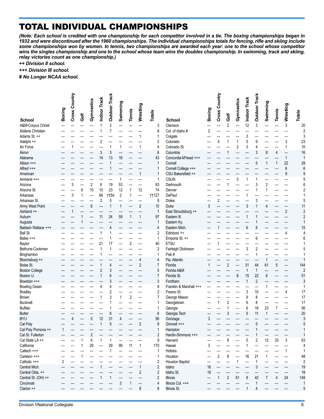# TOTAL INDIVIDUAL CHAMPIONSHIPS

*(Note: Each school is credited with one championship for each competitor involved in a tie. The boxing championships began in 1932 and were discontinued after the 1960 championships. The individual championships totals for fencing, rifle and skiing include some championships won by women. In tennis, two championships are awarded each year: one to the school whose competitor*  wins the singles championship and one to the school whose team wins the doubles championship. In swimming, track and skiing, *relay victories count as one championship.)*

*++ Division II school.*

*+++ Division III school.*

*# No Longer NCAA school.*

|                       | Boxing | Country<br>Cross | Golf | Gymnastics     | Indoor Track | <b>Outdoor Track</b> | Swimming       | <b>Tennis</b>  | Wrestling               | <b>Totals</b>  |                         | <b>Boxing</b>  | Cross Country           | Ğ              | Gymnastics     | Indoor Track | <b>Outdoor Track</b> | Swimming       | <b>Tennis</b>  | ∾ Wrestling    | <b>Totals</b>           |
|-----------------------|--------|------------------|------|----------------|--------------|----------------------|----------------|----------------|-------------------------|----------------|-------------------------|----------------|-------------------------|----------------|----------------|--------------|----------------------|----------------|----------------|----------------|-------------------------|
| School                |        |                  |      |                |              |                      |                |                |                         |                | <b>School</b>           |                |                         |                |                |              |                      |                |                |                |                         |
| A&M-Corpus Christi    |        |                  |      |                |              | $\overline{2}$       |                |                |                         | 3              | Clemson                 |                |                         | $\overline{2}$ |                | 12           | 3                    |                |                |                | 20                      |
| Abilene Christian     |        |                  |      |                |              | 7                    |                |                |                         | 8              | Col. of Idaho #         | $\overline{2}$ |                         |                |                |              |                      |                |                |                | $\overline{2}$          |
| Adams St. ++          |        |                  |      |                |              |                      |                |                |                         | 1              | Colgate                 |                |                         |                |                | 3            |                      |                |                |                | 3                       |
| Adelphi ++            |        |                  |      |                | 2            |                      |                |                |                         | $\overline{2}$ | Colorado                |                | 4                       | 1              | 1              | 5            | 9                    |                |                | 3              | 23                      |
| Air Force             |        |                  |      |                |              |                      | 1              |                | 1                       | 4              | Colorado St.            |                |                         |                | $\overline{c}$ | 3            | 4                    |                |                | $\mathbf{1}$   | 10                      |
| Akron                 |        |                  |      |                | 3            | 3                    |                |                |                         | 6              | Columbia                |                |                         |                |                |              | 3                    | 8              | $\overline{4}$ |                | 16                      |
| Alabama               |        |                  |      |                | 14           | 13                   | 16             |                |                         | 43             | Concordia-M'head +++    |                |                         |                |                |              |                      |                |                | $\mathbf{1}$   | $\mathbf{1}$            |
| Albion +++            |        |                  |      |                |              |                      |                |                |                         | $\mathbf{1}$   | Cornell                 |                |                         |                |                |              | 5                    | 1              | $\mathbf{1}$   | 22             | 29                      |
| Alfred +++            |        |                  |      |                |              |                      |                |                |                         | 1              | Cornell College +++     |                |                         |                |                |              |                      |                |                | $6\,$          | $6\phantom{1}$          |
| American              |        |                  |      |                |              |                      |                |                | 1                       | 1              | CSU Bakersfield ++      |                |                         |                |                |              |                      |                |                | 9              | 9                       |
| Amherst +++           |        |                  |      |                |              |                      | 1              |                |                         | 1              | <b>CSUN</b>             |                |                         |                | 3              | 1            | 1                    |                |                |                | 5                       |
| Arizona               |        | 3                |      | $\overline{2}$ | 6            | 19                   | 53             |                |                         | 83             | Dartmouth               |                |                         |                |                |              | 3                    | $\overline{2}$ |                |                | 6                       |
| Arizona St.           |        |                  | 6    | 10             | 10           | 23                   | 12             | 1              | 12                      | 74             | Denver                  |                |                         |                |                |              |                      |                |                |                | $\overline{2}$          |
| Arkansas              |        | 3                |      |                | 66           | <b>tt54</b>          | $\overline{2}$ | 1              |                         | <b>†127</b>    | DePaul                  |                |                         |                |                |              |                      |                |                |                | 1                       |
| Arkansas St.          |        |                  |      |                | 3            | 5                    |                |                |                         | 8              | Drake                   |                | $\overline{\mathbf{c}}$ |                |                |              | 3                    |                |                |                | 5                       |
| Army West Point       |        |                  |      | 6              |              |                      | 1              |                | $\overline{\mathbf{c}}$ | 10             | Duke                    | 3              |                         |                |                | 3            | 1                    | 4              |                |                | 11                      |
| Ashland ++            |        |                  |      |                |              |                      |                |                |                         | $\mathbf{1}$   | East Stroudsburg ++     |                |                         |                |                |              |                      |                |                | $\overline{2}$ | $\overline{c}$          |
| Auburn                |        |                  |      |                | 11           | 24                   | 59             | 1              | 1                       | 97             | Eastern III.            |                |                         |                |                |              |                      |                |                |                | $\overline{c}$          |
| Augusta               |        |                  |      |                |              |                      |                |                |                         | $\mathbf 1$    | Eastern Ky.             |                |                         |                |                |              |                      |                |                |                | $\mathbf{1}$            |
| Baldwin Wallace +++   |        |                  |      |                |              |                      |                |                |                         | 4              | Eastern Mich.           |                | 1                       |                |                | 6            | 8                    |                |                |                | 15                      |
| Ball St.              |        |                  |      |                |              |                      |                |                |                         | 2              | Edinboro ++             |                |                         |                |                |              |                      |                |                | 4              | 4                       |
| Bates +++             |        |                  |      |                |              |                      |                |                |                         | $\mathbf{1}$   | Emporia St. ++          |                |                         |                |                |              | 6                    |                |                |                | 6                       |
| Baylor                |        |                  |      |                | 21           | 17                   |                | $\overline{2}$ |                         | 40             | <b>ETSU</b>             |                |                         |                |                |              |                      |                |                |                | 1                       |
| Bethune-Cookman       |        |                  |      |                |              |                      |                |                |                         | $\overline{c}$ | Fairleigh Dickinson     |                |                         |                |                | 3            | 2                    |                |                |                | 5                       |
| Binghamton            |        |                  |      |                |              |                      |                |                |                         | $\mathbf{1}$   | Fisk #                  |                |                         |                |                |              | 1                    |                |                |                | $\mathbf{1}$            |
| Bloomsburg ++         |        |                  |      |                |              |                      |                |                | 4                       | 4              | Fla. Atlantic           |                |                         |                |                |              |                      |                |                |                | $\mathbf{1}$            |
| Boise St.             |        |                  |      |                |              | 4                    |                |                | $\overline{2}$          | $\overline{7}$ | Florida                 |                |                         | $\overline{c}$ |                | 31           | 44                   | 61             | 5              |                | 144                     |
| <b>Boston College</b> |        |                  |      |                | 2            | 3                    |                |                |                         | 5              | Florida A&M             |                |                         |                |                | 1            | 1                    |                |                |                | $\overline{2}$          |
| Boston U.             |        |                  |      |                |              |                      |                |                |                         | $\overline{7}$ | Florida St.             |                |                         |                | 8              | 15           | 22                   | 6              |                |                | 51                      |
| Bowdoin +++           |        |                  |      |                |              |                      |                |                |                         | 3              | Fordham                 |                |                         |                |                | 1            | $\overline{2}$       |                |                |                | 3                       |
| <b>Bowling Green</b>  |        |                  |      |                |              |                      |                |                |                         | 8              | Franklin & Marshall +++ |                |                         |                |                |              |                      |                |                |                | 1                       |
| <b>Bradley</b>        |        |                  |      |                |              | $\overline{2}$       |                |                |                         | $\sqrt{2}$     | Fresno St.              |                |                         |                |                | 3            | 10                   |                |                | 4              | 17                      |
| <b>Brown</b>          |        |                  |      |                |              | 3                    | 1              | 2              |                         | $\overline{7}$ | George Mason            |                |                         |                |                | 9            | 8                    |                |                |                | 17                      |
| <b>Bucknell</b>       |        |                  |      |                |              |                      |                |                |                         | 1              | Georgetown              |                | 1                       | 2              |                | 6            | 8                    |                |                |                | 17                      |
| <b>Buffalo</b>        |        |                  |      |                |              |                      |                |                |                         | 1              | Georgia                 |                |                         | 1              |                | 6            | 19                   | 23             | $\overline{7}$ |                | 56                      |
| <b>Butler</b>         |        |                  |      |                |              | 6                    |                |                |                         | 6              | Georgia Tech            |                |                         | 3              |                | 5            | 11                   | 1              |                |                | 20                      |
| <b>BYU</b>            |        |                  |      | 5              | 12           | 31                   | 4              |                |                         | 56             | Gonzaga                 | 3              |                         |                |                |              |                      |                |                |                | 3                       |
| Cal Poly              |        |                  |      |                |              | 5                    |                |                | $\overline{2}$          | 8              | Grinnell +++            |                |                         |                |                |              | 5                    |                |                |                | 5                       |
| Cal Poly Pomona ++    | 1      |                  |      |                |              |                      |                |                |                         | 1              | Hampton                 |                |                         |                |                |              | $\overline{A}$       |                |                |                |                         |
| Cal St. Fullerton     |        |                  |      | 2              |              |                      |                |                |                         | $\overline{2}$ | Hardin-Simmons +++      |                |                         |                |                |              |                      |                |                |                | 1                       |
| Cal State LA++        |        |                  |      | 6              | 1            | 1                    |                |                |                         | 9              | Harvard                 |                |                         | 8              |                | 5            | 2                    | 12             | 33             | 3              | 63                      |
| California            |        |                  |      | 29             |              | 29                   | 99             | 11             | $\mathbf{1}$            | 170            | Hawaii                  | 3              |                         |                |                | 1            |                      |                |                |                | 4                       |
| Caltech +++           |        |                  |      |                |              |                      |                |                |                         | 1              | Hofstra                 |                |                         |                |                |              |                      |                |                | 1              | 1                       |
| Carleton +++          |        |                  |      |                |              |                      |                |                |                         | 1              | Houston                 |                | 2                       | 8              |                | 16           | 21                   | 1              |                |                | 48                      |
| Catholic +++          | 2      |                  |      |                |              |                      |                |                |                         | $\overline{c}$ | <b>Houston Baptist</b>  |                |                         |                | 1              |              | $\mathbf{1}$         |                |                |                | $\overline{\mathbf{c}}$ |
| Central Mich.         |        |                  |      |                |              |                      |                |                | 1                       | $\overline{2}$ | Idaho                   | 16             |                         |                |                |              | 3                    |                |                |                | 19                      |
| Central Okla. ++      |        |                  |      |                |              |                      |                |                | $\overline{c}$          | $\overline{2}$ | Idaho St.               | 18             |                         |                |                |              |                      |                |                |                | 18                      |
| Central St. (OH) ++   |        |                  |      |                |              |                      |                |                |                         | $\overline{2}$ | Illinois                |                | 1                       | 2              | 61             | 8            | 42                   | $\overline{7}$ | 4              | 24             | 149                     |
| Cincinnati            |        |                  |      |                |              |                      | 3              | 1              |                         | 4              | Illinois Col. +++       |                |                         |                |                |              | 1                    |                |                |                | $\mathbf 1$             |
| Clarion ++            |        |                  |      |                |              |                      |                |                | 8                       | 8              | Illinois St.            |                |                         |                |                |              | 4                    |                |                |                | 5                       |
|                       |        |                  |      |                |              |                      |                |                |                         |                |                         |                |                         |                |                |              |                      |                |                |                |                         |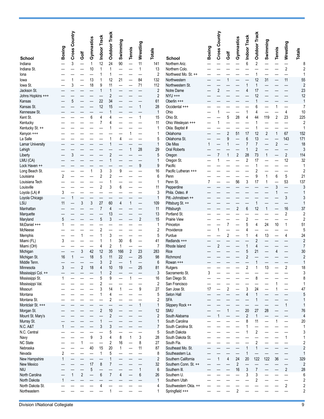|                                  | Boxing | Country<br>Cross |                | Gymnastics | Indoor Track             | <b>Outdoor Track</b> | Swimming     | Tennis       | Wrestling      | Totals                |                                          | <b>Boxing</b> | Cross Country  |                     | Gymnastics     | Indoor Track   | <b>Outdoor Track</b> | Swimming       | Tennis         | Wrestling                | <b>Totals</b>           |
|----------------------------------|--------|------------------|----------------|------------|--------------------------|----------------------|--------------|--------------|----------------|-----------------------|------------------------------------------|---------------|----------------|---------------------|----------------|----------------|----------------------|----------------|----------------|--------------------------|-------------------------|
| <b>School</b>                    |        |                  | Ğ              |            |                          |                      |              |              |                |                       | <b>School</b>                            |               |                | Golf                |                |                |                      |                |                |                          |                         |
| Indiana                          |        | 3                |                | 1          | 12                       | 24                   | 90           | —            | 11             | 141                   | Northern Ariz.                           |               |                |                     |                | 6              | 2                    |                |                |                          | 8                       |
| Indiana St.                      |        |                  |                | 10         | 1                        | 1                    |              |              | $\mathbf{1}$   | 13                    | Northern Colo.                           |               |                |                     |                |                |                      |                |                | $\overline{2}$           | $\overline{2}$          |
| Iona                             |        |                  |                |            | 1                        |                      |              |              |                | $\overline{c}$        | Northwest Mo. St. ++                     |               |                |                     |                |                |                      |                |                |                          |                         |
| lowa                             |        |                  |                | 13         | 1                        | 12                   | 21           |              | 84             | 132                   | Northwestern                             |               |                |                     |                |                | 12                   | 31             |                | 11                       | 55                      |
| lowa St.<br>Jackson St.          |        | 3                |                | 18         | 9<br>1                   | 11                   |              |              | 71             | 112<br>$\overline{2}$ | Northwestern St.<br>Notre Dame           |               | 2              |                     |                |                | 1<br>17              |                |                |                          | $\overline{2}$<br>23    |
| Johns Hopkins +++                |        |                  |                |            |                          | $\overline{2}$       |              |              |                | $\overline{2}$        | NYU +++                                  |               |                |                     |                |                | 12                   |                |                |                          | 12                      |
| Kansas                           |        |                  |                |            | 22                       | 34                   |              |              |                | 61                    | Oberlin +++                              |               |                |                     |                |                |                      |                |                |                          | $\mathbf{1}$            |
| Kansas St.                       |        |                  |                |            | 12                       | 15                   |              |              | 1              | 28                    | Occidental +++                           |               |                |                     |                |                | 6                    |                |                |                          | $\overline{7}$          |
| Kennesaw St.                     |        |                  |                |            |                          |                      |              |              |                | $\mathbf{1}$          | Ohio                                     |               |                |                     |                |                | 4                    |                |                | 4                        | 10                      |
| Kent St.                         |        |                  |                | 6          | 4                        | Δ                    |              |              | 1              | 15                    | Ohio St.                                 |               |                | 5                   | 28             | 4              | 44                   | 119            | $\sqrt{2}$     | 23                       | 225                     |
| Kentucky                         |        |                  |                |            | 7                        |                      |              |              |                | 11                    | Ohio Wesleyan +++                        |               |                |                     |                |                |                      |                |                |                          | $\overline{2}$          |
| Kentucky St. ++                  |        |                  |                |            |                          |                      |              |              |                | $\mathbf{1}$<br>1     | Okla. Baptist #<br>Oklahoma              |               |                |                     |                | 17             |                      |                | 1              | 67                       | 1                       |
| Kenyon +++<br>La Salle           |        |                  |                |            |                          |                      | 4            |              |                | 5                     | Oklahoma St.                             |               |                | $\overline{2}$<br>9 | 51             | 6              | 12<br>13             | $\overline{2}$ |                | 143                      | 152<br>171              |
| <b>Lamar University</b>          |        |                  |                |            |                          |                      |              |              |                | $\mathbf{1}$          | Ole Miss                                 |               |                |                     |                |                | $\overline{7}$       |                | $\overline{2}$ |                          | 18                      |
| Lehigh                           |        |                  |                |            |                          |                      |              |              | 28             | 29                    | <b>Oral Roberts</b>                      |               |                |                     |                |                | 2                    |                |                |                          | 3                       |
| Liberty                          |        |                  |                |            |                          | $\overline{2}$       |              |              |                | 5                     | Oregon                                   |               | 7              |                     | $\overline{c}$ | 28             | 73                   |                |                | $\overline{c}$           | 114                     |
| LMU (CA)                         |        |                  |                |            |                          |                      |              |              |                | $\mathbf{1}$          | Oregon St.                               |               |                |                     |                | 2              | 17                   |                |                | 12                       | 32                      |
| Lock Haven ++                    |        |                  |                |            |                          |                      |              |              | 9              | 9                     | Pacific                                  |               |                |                     |                |                |                      |                |                |                          | 1                       |
| Long Beach St.                   |        |                  |                |            | 3                        | 3                    | 9            |              |                | 16                    | Pacific Lutheran +++                     |               |                |                     |                |                | 2                    |                |                |                          | $\overline{2}$          |
| Louisiana                        | 2      |                  |                |            | 2                        | 2                    |              |              |                | $6\phantom{1}$        | Penn                                     |               |                |                     |                |                | 9                    | 1              | 6              | $\mathbf 5$              | 21                      |
| Louisiana Tech                   |        |                  |                |            |                          |                      |              |              |                | $\mathbf{1}$          | Penn St.                                 | 7             |                |                     | 56             | 3              | 17                   | 1              |                | 53                       | 137                     |
| Louisville<br>Loyola (LA) #      | 3      |                  |                |            | 2                        | 3                    | 6            |              |                | 11<br>3               | Pepperdine<br>Phila. Osteo. #            |               |                |                     |                |                |                      |                | 3              |                          | 3<br>$\mathbf{1}$       |
| Loyola Chicago                   |        |                  |                |            |                          |                      |              |              |                | $\mathbf{1}$          | Pitt.-Johnstown ++                       |               |                |                     |                |                |                      |                |                | 3                        | 3                       |
| LSU                              | 11     |                  | 3              | 3          | 27                       | 60                   | 4            |              |                | 109                   | Pittsburg St. ++                         |               |                |                     |                |                |                      |                |                |                          | $\mathbf{1}$            |
| Manhattan                        |        |                  |                |            | $\overline{7}$           | 4                    |              |              |                | 11                    | Pittsburgh                               |               |                |                     | 2              | 6              | 12                   |                |                | 16                       | 37                      |
| Marquette                        |        |                  |                |            |                          | 13                   |              |              |                | 13                    | Portland St.                             |               |                |                     |                |                |                      |                |                | $\overline{2}$           | $\overline{2}$          |
| Maryland                         | 5      |                  |                |            | 5                        | 3                    |              |              | $\overline{2}$ | 15                    | <b>Prairie View</b>                      |               |                |                     |                | $\overline{2}$ |                      |                |                |                          | $\overline{2}$          |
| McDaniel +++                     |        |                  |                |            |                          |                      |              |              |                | $\mathbf{1}$          | Princeton                                |               |                |                     |                | 5              | 4                    | 24             | 10             | 1                        | 51                      |
| McNeese                          |        |                  |                |            | 2                        |                      |              |              |                | $\overline{2}$        | Providence                               |               | 1              |                     |                | 4              |                      |                |                |                          | 5                       |
| Memphis<br>Miami (FL)            | 3      |                  |                |            | 1                        | 3<br>1               | 30           | 6            |                | 5<br>41               | Purdue<br>Redlands +++                   |               |                | 2                   |                |                | 4<br>$\overline{2}$  | 13             |                | 4                        | 24<br>$\overline{2}$    |
| Miami (OH)                       |        |                  |                |            | 4                        | 2                    | $\mathbf{1}$ |              |                | $\overline{7}$        | Rhode Island                             |               | $\overline{2}$ |                     |                |                | 4                    |                |                |                          | $\overline{7}$          |
| Michigan                         |        |                  | 3              | 42         | 12                       | 35                   | 166          | 2            | 23             | 283                   | Rice                                     |               |                |                     |                | 5              | 21                   |                |                |                          | 30                      |
| Michigan St.                     | 16     | 1                |                | 18         | 5                        | 11                   | 22           |              | 25             | 98                    | Richmond                                 |               |                |                     |                | $\overline{2}$ |                      |                |                |                          | $\overline{2}$          |
| Middle Tenn.                     |        |                  |                |            | 3                        | $\overline{2}$       |              | 1            |                | $6\phantom{1}6$       | Rowan +++                                |               |                |                     |                |                |                      |                |                |                          | 1                       |
| Minnesota                        | 3      |                  | 2              | 18         | 4                        | 10                   | 19           |              | 25             | 81                    | Rutgers                                  |               |                |                     |                | 2              |                      | 13             |                | 2                        | 18                      |
| Mississippi Col. ++              |        |                  |                |            |                          | $\overline{c}$       |              |              |                | $\mathbf{3}$          | Sacramento St.                           | 3             |                |                     |                |                |                      |                |                |                          | 3                       |
| Mississippi St.                  |        |                  |                |            |                          | 9                    |              |              |                | 16                    | San Diego St.                            |               |                |                     |                |                | 8                    |                |                |                          | 8                       |
| Mississippi Val.<br>Missouri     |        |                  |                |            | $\overline{2}$<br>3      | 14                   | 1            |              | 9              | $\overline{2}$<br>27  | San Francisco<br>San Jose St.            | 17            |                | 2                   |                | 3              | 24                   |                |                |                          | 1<br>47                 |
| Montana                          |        |                  |                |            |                          | 4                    |              |              |                | 5                     | Seton Hall                               |               |                |                     |                | 4              | 1                    |                |                |                          | 5                       |
| Montana St.                      |        |                  |                |            |                          | 2                    |              |              |                | $\overline{2}$        | <b>SFA</b>                               |               |                |                     |                |                |                      |                |                |                          | 1                       |
| Montclair St. +++                |        |                  |                |            |                          |                      |              |              | $\mathbf{1}$   | $\mathbf{1}$          | Slippery Rock ++                         |               |                |                     |                |                |                      |                |                | $\mathbf{1}$             | 1                       |
| Morgan St.                       |        |                  |                |            | $\overline{2}$           | 10                   |              |              |                | 12                    | SMU                                      |               |                |                     |                | 20             | 27                   | 28             |                |                          | 76                      |
| Mount St. Mary's                 |        |                  |                |            |                          | $\overline{c}$       |              |              |                | $\overline{2}$        | South Alabama                            |               |                |                     |                | 2              | $\mathbf{1}$         |                |                |                          | 4                       |
| Murray St.                       |        |                  |                |            |                          |                      |              |              |                | $\mathbf{1}$          | South Carolina                           |               |                |                     |                | 8              | 11                   |                |                | $\overline{\phantom{0}}$ | 20                      |
| N.C. A&T                         |        |                  |                |            | 3                        | 3                    |              |              |                | $\overline{7}$        | South Carolina St.                       |               |                |                     |                |                |                      |                |                |                          | 1                       |
| N.C. Central                     |        |                  |                | 9          | 3                        | 5<br>4               | 8            | $\mathbf{1}$ | 3              | 5<br>28               | South Dakota<br>South Dakota St.         |               |                |                     |                |                | $\overline{2}$       |                |                | $\mathbf{1}$             | 3<br>1                  |
| Navy<br><b>NC State</b>          |        |                  |                |            | $\overline{\phantom{0}}$ | $\boldsymbol{2}$     | 16           |              | 8              | 27                    | South Fla.                               |               |                |                     |                |                | $\overline{2}$       |                |                |                          | $\overline{\mathbf{c}}$ |
| Nebraska                         |        |                  |                | 40         | 15                       | 20                   | $\mathbf{1}$ |              | 11             | 87                    | Southeast Mo. St.                        |               |                |                     |                |                |                      |                |                |                          | $\overline{c}$          |
| Nevada                           | 2      |                  |                |            | 1                        | 5                    |              |              |                | 8                     | Southeastern La.                         |               |                |                     |                |                |                      |                |                |                          | 1                       |
| New Hampshire                    |        |                  |                |            |                          |                      |              |              |                | $\overline{2}$        | Southern California                      |               | 1              | 4                   | 24             | 20             | 122                  | 122            | 36             |                          | 329                     |
| New Mexico                       |        |                  |                | 17         | 8                        | 7                    |              |              |                | 32                    | Southern Conn. St. ++                    |               |                |                     | $\overline{2}$ |                |                      |                |                | —                        | $\overline{2}$          |
| <b>NIU</b>                       |        |                  |                | 5          |                          |                      |              |              | 1              | $6\phantom{1}6$       | Southern III.                            |               |                |                     | 16             | 3              | $\overline{7}$       |                |                | $\overline{2}$           | 28                      |
| North Carolina                   |        |                  | $\overline{2}$ |            | 6                        | $\overline{7}$       | 4            |              | 6              | 26                    | Southern U.                              |               |                |                     |                | 3              | 3                    |                |                | $\overline{\phantom{0}}$ | 6                       |
| North Dakota                     | 1      |                  |                |            |                          |                      |              |              |                | $\mathbf{1}$          | Southern Utah                            |               |                |                     |                |                | 2                    |                |                |                          | $\overline{2}$          |
| North Dakota St.<br>Northeastern |        |                  |                |            |                          |                      |              |              |                | 4<br>1                | Southwestern Okla. ++<br>Springfield +++ |               |                |                     | $\overline{2}$ |                |                      |                |                | $\overline{2}$           | 2<br>2                  |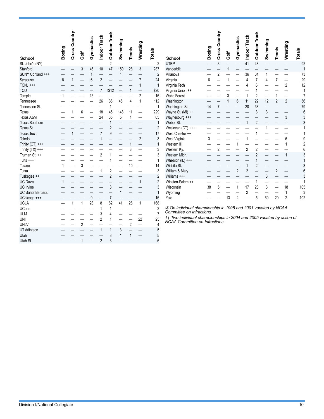| <b>School</b>                  | Boxing | Cross Country | Ğ              | Gymnastics | Indoor Track   | <b>Outdoor Track</b> | Swimming | Tennis       | Wrestling                | <b>Totals</b>        | <b>School</b>                                                         | Boxing | Country<br>Cross | Ğ  | Gymnastics     | Indoor Track   | <b>Outdoor Track</b> | Swimming | <b>Tennis</b>  | Wrestling                | <b>Totals</b>  |
|--------------------------------|--------|---------------|----------------|------------|----------------|----------------------|----------|--------------|--------------------------|----------------------|-----------------------------------------------------------------------|--------|------------------|----|----------------|----------------|----------------------|----------|----------------|--------------------------|----------------|
| St. John's (NY)                |        |               |                |            |                | $\overline{2}$       |          |              |                          | $\overline{2}$       | <b>UTEP</b>                                                           |        | 3                |    |                | 41             | 48                   |          |                |                          | 92             |
| Stanford                       |        |               | 3              | 46         | 10             | 47                   | 150      | 28           | 3                        | 287                  | Vanderbilt                                                            |        |                  |    |                |                |                      |          |                |                          |                |
| SUNY Cortland +++              |        |               |                |            |                |                      | 1        |              |                          | $\overline{2}$       | Villanova                                                             |        | $\overline{2}$   |    |                | 36             | 34                   | 1        |                |                          | 73             |
| Syracuse                       | 8      |               |                | 6          | $\overline{c}$ |                      |          |              | 7                        | 24                   | Virginia                                                              | 6      |                  |    |                | $\overline{4}$ | $\overline{7}$       | 4        | $\overline{7}$ |                          | 29             |
| $TCNJ$ +++                     |        |               |                |            |                |                      |          |              | $\mathbf{1}$             | $\mathbf{1}$         | Virginia Tech                                                         |        |                  |    |                | 4              | $6\phantom{1}6$      |          |                | $\overline{2}$           | 12             |
| <b>TCU</b>                     |        |               |                |            | 7              | !\$12                |          |              |                          | !\$20                | Virginia Union ++                                                     |        |                  |    |                |                |                      |          |                |                          | 1              |
| Temple                         |        |               |                | 13         |                |                      |          |              | 2                        | 16                   | <b>Wake Forest</b>                                                    |        |                  | 3  |                |                | $\overline{2}$       |          |                |                          | 7              |
| Tennessee                      |        |               |                |            | 26             | 36                   | 45       | 4            | 1                        | 112                  | Washington                                                            |        |                  |    | 6              | 11             | 22                   | 12       | 2              | $\overline{2}$           | 56             |
| Tennessee St.                  |        |               |                |            |                | 1                    |          |              | —                        | $\mathbf{1}$         | Washington St.                                                        | 14     | $\overline{7}$   |    |                | 20             | 38                   |          |                | $\overline{\phantom{0}}$ | 79             |
| Texas                          |        |               | 6              |            | 18             | 45                   | 148      | 11           | —                        | 229                  | Wayne St. (MI) ++                                                     |        |                  |    |                |                | 3                    | 3        |                |                          | 6              |
| Texas A&M                      |        |               |                |            | 24             | 35                   | 5        | $\mathbf{1}$ |                          | 65                   | Waynesburg +++                                                        |        |                  |    |                |                |                      |          |                | 3                        | 3              |
| <b>Texas Southern</b>          |        |               |                |            |                | 1                    |          |              |                          | $\mathbf{1}$         | Weber St.                                                             |        |                  |    |                |                | $\overline{2}$       |          |                |                          | 3              |
| Texas St.<br><b>Texas Tech</b> |        |               |                |            |                | $\overline{2}$<br>9  |          |              |                          | $\overline{2}$<br>17 | Wesleyan (CT) +++                                                     |        |                  |    |                |                |                      |          |                |                          | 1              |
| Toledo                         |        |               |                |            |                |                      |          |              | $\overline{2}$           | 3                    | West Chester ++                                                       |        |                  |    |                |                |                      |          |                | 5                        | g              |
| Trinity $(CT)$ +++             |        |               |                |            |                |                      |          |              | $\overline{\phantom{0}}$ | $\mathbf{1}$         | West Virginia<br>Western III.                                         |        |                  |    |                |                |                      |          |                |                          | $\overline{a}$ |
| Trinity $(TX)$ +++             |        |               |                |            |                |                      |          | 3            | $\overline{\phantom{0}}$ | 3                    | Western Ky.                                                           |        | 2                |    |                | $\overline{2}$ | $\overline{2}$       |          |                |                          | 6              |
| Truman St. ++                  |        |               |                |            | 2              |                      |          |              |                          | 3                    | Western Mich.                                                         |        |                  |    |                |                | $\overline{2}$       |          |                |                          | 3              |
| Tufts $***$                    |        |               |                |            |                |                      |          |              |                          | 1                    | Wheaton $(IL)$ +++                                                    |        |                  |    |                |                |                      |          |                |                          | 1              |
| Tulane                         |        |               | 3              |            |                |                      |          | 10           |                          | 14                   | Wichita St.                                                           |        |                  |    |                |                | $\overline{2}$       |          |                |                          | 3              |
| Tulsa                          |        |               |                |            |                | $\overline{2}$       |          |              |                          | 3                    | William & Mary                                                        |        |                  |    | $\overline{2}$ | $\overline{2}$ |                      |          | $\overline{2}$ |                          | 6              |
| Tuskegee ++                    |        |               |                |            |                | $\overline{2}$       |          |              |                          | $\overline{2}$       | Williams +++                                                          |        |                  |    |                |                |                      | 3        |                |                          | 3              |
| <b>UC Davis</b>                |        |               |                |            |                |                      |          |              | 1                        | $\overline{2}$       | Winston-Salem ++                                                      |        |                  |    |                |                | 1                    |          |                |                          | 1              |
| <b>UC</b> Irvine               |        |               |                |            |                | 3                    |          |              |                          | 3                    | Wisconsin                                                             | 38     | 5                |    |                | 17             | 23                   | 3        |                | 18                       | 105            |
| UC Santa Barbara.              |        |               |                |            |                |                      |          |              |                          | $\mathbf{1}$         | Wyoming                                                               |        |                  |    |                | 2              |                      |          |                | $\mathbf{1}$             | 3              |
| UChicago +++                   |        |               |                | 9          |                | $\overline{7}$       |          |              |                          | 16                   | Yale                                                                  |        |                  | 13 | $\overline{2}$ |                | 5                    | 60       | 20             | $\overline{2}$           | 102            |
| <b>UCLA</b>                    |        |               | 1              | 28         | 8              | 62                   | 41       | 26           | $\mathbf{1}$             | 168                  |                                                                       |        |                  |    |                |                |                      |          |                |                          |                |
| <b>UConn</b>                   |        |               |                |            |                | 1                    |          |              |                          | $\sqrt{2}$           | !\$ On individual championship in 1998 and 2001 vacated by NCAA       |        |                  |    |                |                |                      |          |                |                          |                |
| <b>ULM</b>                     |        |               |                |            | 3              | Δ                    |          |              |                          | $\overline{7}$       | Committee on Infractions.                                             |        |                  |    |                |                |                      |          |                |                          |                |
| <b>UNI</b>                     |        |               |                |            | 2              | 1                    |          |              | 22                       | 25                   | †† Two individual championships in 2004 and 2005 vacated by action of |        |                  |    |                |                |                      |          |                |                          |                |
| <b>UNLV</b>                    |        |               | $\overline{2}$ |            |                |                      |          | 2            | $\overline{\phantom{0}}$ | $\overline{4}$       | NCAA Committee on Infractions.                                        |        |                  |    |                |                |                      |          |                |                          |                |
| UT Arlington                   |        |               |                |            |                |                      | 3        |              | —                        | 5                    |                                                                       |        |                  |    |                |                |                      |          |                |                          |                |
| Utah                           |        |               |                |            |                | 3                    | 1        |              |                          | 5                    |                                                                       |        |                  |    |                |                |                      |          |                |                          |                |
| Utah St.                       |        |               |                |            | $\overline{2}$ | 3                    |          |              |                          | $6\overline{6}$      |                                                                       |        |                  |    |                |                |                      |          |                |                          |                |

Totals<br><sup>92</sup>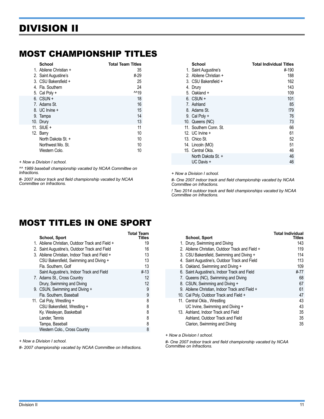#### <span id="page-10-0"></span>MOST CHAMPIONSHIP TITLES

| School                 | <b>Total Team Titles</b> |
|------------------------|--------------------------|
| 1. Abilene Christian + | 35                       |
| 2. Saint Augustine's   | #-29                     |
| 3. CSU Bakersfield +   | 25                       |
| 4. Fla. Southern       | 24                       |
| 5. Cal Poly +          | .19                      |
| $6.$ CSUN $+$          | 18                       |
| 7. Adams St.           | 16                       |
| 8. UC Irvine +         | 15                       |
| 9. Tampa               | 14                       |
| 10. Drury              | 13                       |
| 11. $SIUF +$           | 11                       |
| 12. Barry              | 10                       |
| North Dakota St. +     | 10                       |
| Northwest Mo. St.      | 10                       |
| Western Colo.          | 10                       |

*+ Now a Division I school.*

*^^ 1989 baseball championship vacated by NCAA Committee on Infractions.*

*#- 2007 indoor track and field championship vacated by NCAA Committee on Infractions.*

| School<br>1. Saint Augustine's<br>2. Abilene Christian +<br>3. CSU Bakersfield +<br>4. Drury        | <b>Total Individual Titles</b><br>#-190<br>188<br>162<br>143 |
|-----------------------------------------------------------------------------------------------------|--------------------------------------------------------------|
| 5. Oakland +                                                                                        | 109                                                          |
| $6.$ CSUN $+$<br>7. Ashland<br>8. Adams St.<br>9. Cal Poly +<br>10. Queens (NC)                     | 101<br>85<br>!79<br>76<br>73                                 |
| 11. Southern Conn. St.<br>12. UC Irvine +<br>13. Chico St.<br>14. Lincoln (MO)<br>15. Central Okla. | 66<br>61<br>52<br>51<br>46                                   |
| North Dakota St. +<br>UC Davis +                                                                    | 46<br>46                                                     |

*+ Now a Division I school.*

*#- One 2007 indoor track and field championship vacated by NCAA Committee on Infractions.*

*! Two 2014 outdoor track and field championships vacated by NCAA Committee on Infractions.*

#### MOST TITLES IN ONE SPORT

| School, Sport                                   | Total Team<br>Titles |
|-------------------------------------------------|----------------------|
| 1. Abilene Christian, Outdoor Track and Field + | 19                   |
| 2. Saint Augustine's, Outdoor Track and Field   | 16                   |
| 3. Abilene Christian, Indoor Track and Field +  | 13                   |
| CSU Bakersfield, Swimming and Diving +          | 13                   |
| Fla. Southern. Golf                             | 13                   |
| Saint Augustine's, Indoor Track and Field       | $# - 13$             |
| 7. Adams St., Cross Country                     | 12                   |
| Drury, Swimming and Diving                      | 12                   |
| 9. CSUN, Swimming and Diving +                  | 9                    |
| Fla. Southern, Baseball                         | 9                    |
| 11. Cal Poly, Wrestling +                       | 8                    |
| CSU Bakersfield, Wrestling +                    | 8                    |
| Ky. Wesleyan, Basketball                        | 8                    |
| Lander, Tennis                                  | 8                    |
| Tampa, Baseball                                 | 8                    |
| Western Colo., Cross Country                    | 8                    |

*+ Now a Division I school.*

*#- 2007 championship vacated by NCAA Committee on Infractions.*

| 143  |
|------|
| 119  |
| 114  |
| 113  |
| 109  |
| #-77 |
| 68   |
| 67   |
| 61   |
| 47   |
| 43   |
| 43   |
| 35   |
| 35   |
| 35   |
|      |

*+ Now a Division I school.*

*#- One 2007 indoor track and field championship vacated by NCAA Committee on Infractions.*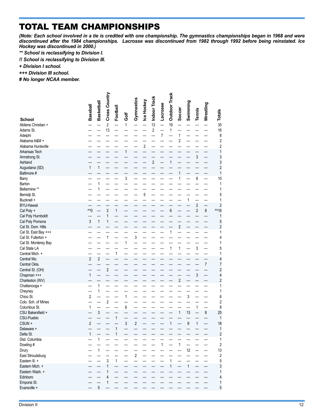# TOTAL TEAM CHAMPIONSHIPS

L

*(Note: Each school involved in a tie is credited with one championship. The gymnastics championships began in 1968 and were discontinued after the 1984 championships. Lacrosse was discontinued from 1982 through 1992 before being reinstated. Ice Hockey was discontinued in 2000.)*

- *\*\* School is reclassifying to Division I.*
- *!! School is reclassifying to Division III.*

*+ Division I school.*

*+++ Division III school.*

*# No longer NCAA member.*

|                                   | Baseball       | Basketball   | Cross Country  | Football     | Ğ            | Gymnastics     | Ice Hockey     | Indoor Track   | <b>Lacrosse</b> | <b>Outdoor Track</b> | Soccer                  | Swimming     | Tennis         | Wrestling | <b>Totals</b>           |
|-----------------------------------|----------------|--------------|----------------|--------------|--------------|----------------|----------------|----------------|-----------------|----------------------|-------------------------|--------------|----------------|-----------|-------------------------|
| <b>School</b>                     |                |              |                |              |              |                |                |                |                 |                      |                         |              |                |           |                         |
| Abilene Christian +               |                |              | $\sqrt{2}$     |              | $\mathbf{1}$ |                |                | 13             |                 | 19                   |                         |              |                |           | 35                      |
| Adams St.                         |                |              | 13             |              |              |                |                | $\overline{c}$ |                 | 1                    |                         |              |                |           | 16                      |
| Adelphi                           |                |              |                |              |              |                |                |                | 7               |                      | 1                       |              |                |           | 8                       |
| Alabama A&M +                     |                |              |                |              |              |                |                |                |                 |                      | $\overline{c}$          |              |                |           | $\overline{2}$          |
| Alabama Huntsville                |                |              |                |              |              |                | $\overline{c}$ |                |                 |                      |                         |              |                |           | $\sqrt{2}$              |
| Arkansas Tech                     |                |              |                |              | 1            |                |                |                |                 |                      |                         |              |                |           | 1<br>3                  |
| Armstrong St.<br>Ashland          |                |              |                |              |              |                |                | $\overline{2}$ |                 | 1                    |                         |              | 3              |           | 3                       |
| Augustana (SD)                    | $\mathbf{1}$   | 1            |                |              |              |                |                |                |                 |                      |                         |              |                |           | $\overline{2}$          |
| Baltimore #                       |                |              |                |              |              |                |                |                |                 |                      | 1                       |              |                |           | 1                       |
| Barry                             |                |              |                |              | 3            |                |                |                |                 |                      | $\mathbf{1}$            |              | $\overline{6}$ |           | 10                      |
| Barton                            |                | 1            |                |              |              |                |                |                |                 |                      |                         |              |                |           | 1                       |
| Bellarmine **                     |                | 1            |                |              |              |                |                |                |                 |                      |                         |              |                |           | 1                       |
| Bemidji St.                       |                |              |                |              |              |                | 5              |                |                 |                      |                         |              |                |           | 5                       |
| Bucknell +                        |                |              |                |              |              |                |                |                |                 |                      |                         | 1            |                |           | 1                       |
| <b>BYU-Hawaii</b>                 |                |              |                |              |              |                |                |                |                 |                      |                         |              | $\overline{c}$ |           | $\overline{2}$          |
| Cal Poly +                        | $^{\sim}0$     |              | $\overline{c}$ | 1            |              |                |                |                |                 | 6                    |                         |              | $\overline{c}$ | 8         | ^^19                    |
| Cal Poly Humboldt                 |                |              | 1              |              |              |                |                |                |                 |                      |                         |              |                |           | 1                       |
| Cal Poly Pomona                   | 3              | $\mathbf{1}$ | 1              |              |              |                |                |                |                 |                      |                         |              |                |           | 5                       |
| Cal St. Dom. Hills                |                |              |                |              |              |                |                |                |                 |                      | $\overline{\mathbf{c}}$ |              |                |           | $\overline{2}$          |
| Cal St. East Bay +++              |                |              |                |              |              |                |                |                |                 | 1                    |                         |              |                |           | 1                       |
| Cal St. Fullerton +               |                |              | $\mathbf{1}$   |              |              | 3              |                |                |                 |                      |                         |              |                |           | 4                       |
| Cal St. Monterey Bay              |                |              |                |              | 1            |                |                |                |                 |                      |                         |              |                |           | 1                       |
| Cal State LA                      |                |              |                |              |              |                |                |                |                 | 1                    | $\mathbf{1}$            |              | 3              |           | 5                       |
| Central Mich. +                   |                |              |                | 1            |              |                |                |                |                 |                      |                         |              |                |           | 1                       |
| Central Mo.                       | $\overline{2}$ | $\mathbf{2}$ |                |              |              |                |                |                |                 |                      |                         |              |                |           | 4                       |
| Central Okla.                     |                |              |                |              |              |                |                |                |                 |                      |                         |              |                | 7         | 7                       |
| Central St. (OH)                  |                |              | $\overline{c}$ |              |              |                |                |                |                 |                      |                         |              |                |           | $\overline{c}$          |
| Chapman +++                       | 1              |              |                |              |              |                |                |                |                 |                      |                         |              | 3              |           | $\overline{\mathbf{4}}$ |
| Charleston (WV)                   |                |              |                |              |              |                |                |                |                 |                      | $\overline{\mathbf{c}}$ |              |                |           | $\overline{2}$          |
| Chattanooga +                     |                | 1            |                |              |              |                |                |                |                 |                      |                         |              |                |           | 1                       |
| Cheyney                           | $\overline{2}$ | 1            |                |              |              |                |                |                |                 |                      |                         |              |                |           | 1                       |
| Chico St.                         |                |              | $\overline{2}$ |              | 1            |                |                |                |                 |                      |                         | 3            |                |           | 6                       |
| Colo. Sch. of Mines               | 1              |              |                |              | 6            |                |                |                |                 |                      |                         |              | 1              |           | $\overline{2}$<br>8     |
| Columbus St.<br>CSU Bakersfield + |                | 3            |                |              |              |                |                |                |                 |                      | 1                       | 13           |                | 8         | 25                      |
| CSU-Pueblo                        |                |              |                | 1            |              |                |                |                |                 |                      |                         |              |                |           | $\mathbf{1}$            |
| CSUN +                            | $\overline{2}$ |              |                |              | 3            | $\overline{2}$ |                |                |                 | 1                    |                         | 9            | $\mathbf{1}$   |           | 18                      |
| Delaware +                        |                |              |                | 1            |              |                |                |                |                 |                      |                         |              |                |           | 1                       |
| Delta St.                         | 1              |              |                | 1            |              |                |                |                |                 |                      |                         |              |                |           | $\overline{2}$          |
| Dist. Columbia                    |                | 1            |                |              |              |                |                |                |                 |                      |                         |              |                |           | $\mathbf{1}$            |
| Dowling #                         |                |              |                |              |              |                |                |                | $\mathbf{1}$    |                      | $\mathbf{1}$            |              |                |           | $\overline{2}$          |
| Drury                             |                | $\mathbf{1}$ |                |              |              |                |                |                |                 |                      |                         | 12           |                |           | 13                      |
| East Stroudsburg                  |                |              |                |              |              | $\frac{1}{2}$  |                |                |                 |                      |                         |              |                |           | $\sqrt{2}$              |
| Eastern III. +                    |                |              | $\mathfrak{z}$ | $\mathbf{1}$ |              |                |                |                |                 | $\mathbf{1}$         |                         |              |                |           | 5                       |
| Eastern Mich. +                   |                |              | 1              |              |              |                |                |                |                 | 1                    |                         | $\mathbf{1}$ |                |           | 3                       |
| Eastern Wash. +                   |                |              | $\mathbf{1}$   |              |              |                |                |                |                 |                      |                         |              |                |           | 1                       |
| Edinboro                          |                |              | $\overline{4}$ |              |              |                |                |                |                 |                      |                         |              |                |           | $\overline{4}$          |
| Emporia St.                       |                |              | 1              |              |              |                |                |                |                 |                      |                         |              |                |           | $\mathbf{1}$            |
| Evansville +                      |                | 5            |                |              |              |                |                |                |                 |                      |                         |              |                |           | $\overline{5}$          |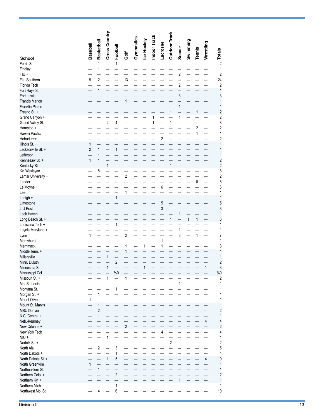|                                         | <b>Baseball</b>     | <b>Basketball</b> | Cross Country  | Football       | Ğ                       | Gymnastics | Ice Hockey | Indoor Track | Lacrosse                | <b>Outdoor Track</b> | Soccer                  | Swimming | <b>Tennis</b> | Wrestling  | <b>Totals</b>                |
|-----------------------------------------|---------------------|-------------------|----------------|----------------|-------------------------|------------|------------|--------------|-------------------------|----------------------|-------------------------|----------|---------------|------------|------------------------------|
| <b>School</b>                           |                     |                   |                |                |                         |            |            |              |                         |                      |                         |          |               |            |                              |
| Ferris St.                              |                     | 1                 |                | 1              |                         |            |            |              |                         |                      |                         |          |               |            | $\sqrt{2}$                   |
| Findlay<br>FIU +                        |                     | 1                 |                |                |                         |            |            |              |                         |                      | $\overline{\mathbf{c}}$ |          |               |            | 1<br>2                       |
| Fla. Southern                           | 9                   | 2                 |                |                | 13                      |            |            |              |                         |                      |                         |          |               |            | 24                           |
| Florida Tech                            |                     |                   |                |                |                         |            |            |              |                         |                      | $\overline{c}$          |          |               |            | $\overline{\mathbf{c}}$      |
| Fort Hays St.                           |                     | $\mathbf{1}$      |                |                |                         |            |            |              |                         |                      |                         |          |               |            | $\mathbf{1}$                 |
| Fort Lewis                              |                     |                   |                |                |                         |            |            |              |                         |                      | 3                       |          |               |            | 3                            |
| <b>Francis Marion</b>                   |                     |                   |                |                | 1                       |            |            |              |                         |                      |                         |          |               |            | 1                            |
| Franklin Pierce<br>Fresno St. +         |                     |                   |                |                |                         |            |            |              |                         | $\mathbf{1}$         | $\mathbf{1}$            |          | 1             |            | 1<br>$\overline{\mathbf{c}}$ |
| Grand Canyon +                          |                     |                   |                |                |                         |            |            | 1            |                         |                      | 1                       |          |               |            | $\overline{\mathbf{c}}$      |
| Grand Valley St.                        |                     |                   | $\overline{c}$ | 4              |                         |            |            | 1            |                         | $\mathbf{1}$         |                         |          |               |            | 8                            |
| Hampton +                               |                     |                   |                |                |                         |            |            |              |                         |                      |                         |          | 2             |            | $\overline{2}$               |
| Hawaii Pacific                          |                     |                   |                |                |                         |            |            |              |                         |                      |                         |          | 1             |            | 1                            |
| Hobart +++                              |                     |                   |                |                |                         |            |            |              | $\overline{\mathbf{c}}$ |                      |                         |          |               |            | 2                            |
| Illinois St. +<br>Jacksonville St. +    | 1<br>$\overline{2}$ | 1                 |                | 1              |                         |            |            |              |                         |                      |                         |          |               |            | 1<br>4                       |
| Jefferson                               |                     | 1                 |                |                |                         |            |            |              |                         |                      |                         |          |               |            | 1                            |
| Kennesaw St. +                          | $\mathbf{1}$        | 1                 |                |                |                         |            |            |              |                         |                      |                         |          |               |            | $\overline{\mathbf{c}}$      |
| Kentucky St.                            |                     |                   | 1              |                |                         |            |            |              |                         | 1                    |                         |          |               |            | 2                            |
| Ky. Wesleyan                            |                     | 8                 |                |                |                         |            |            |              |                         |                      |                         |          |               |            | 8                            |
| Lamar University +                      |                     |                   |                |                | $\overline{c}$          |            |            |              |                         |                      |                         |          |               |            | $\overline{\mathbf{c}}$      |
| Lander                                  |                     |                   |                |                |                         |            |            |              |                         |                      |                         |          | 8             |            | 8                            |
| Le Moyne<br>Lee                         |                     |                   |                |                | $\mathbf{1}$            |            |            |              | 6                       |                      |                         |          |               |            | 6<br>1                       |
| Lehigh +                                |                     |                   |                | 1              |                         |            |            |              |                         |                      |                         |          |               |            | 1                            |
| Limestone                               |                     |                   |                |                |                         |            |            |              | 5                       |                      |                         |          |               |            | 5                            |
| <b>LIU Post</b>                         |                     |                   |                |                |                         |            |            |              | 3                       |                      |                         |          |               |            | 3                            |
| Lock Haven                              |                     |                   |                |                |                         |            |            |              |                         |                      | $\mathbf{1}$            |          |               |            | 1                            |
| Long Beach St. +                        |                     |                   |                |                |                         |            |            |              |                         | 1                    |                         | 1        | 1             |            | 3                            |
| Louisiana Tech +<br>Loyola Maryland +   |                     |                   |                | 1              |                         |            |            |              |                         |                      | 1                       |          |               |            | 1<br>1                       |
| Lynn                                    | 1                   |                   |                |                | $\overline{\mathbf{c}}$ |            |            |              |                         |                      | 3                       |          | 1             |            | 7                            |
| Mercyhurst                              |                     |                   |                |                |                         |            |            |              | 1                       |                      |                         |          |               |            | 1                            |
| Merrimack                               |                     |                   |                |                | 1                       |            | 1          |              | $\mathbf{1}$            |                      |                         |          |               |            | 3                            |
| Middle Tenn. +                          |                     |                   |                |                | 1                       |            |            |              |                         |                      |                         |          |               |            | 1                            |
| Millersville                            |                     |                   | 1              |                |                         |            |            |              |                         |                      |                         |          |               |            | 1                            |
| Minn. Duluth<br>Minnesota St            |                     |                   | $\mathbf{1}$   | $\overline{2}$ |                         |            | 1          |              |                         |                      |                         |          |               | 1          | $\overline{c}$<br>3          |
| Mississippi Col.                        |                     |                   |                | $\%0$          |                         |            |            |              |                         |                      |                         |          |               |            | $\%0$                        |
| Missouri St. +                          |                     |                   | 1              |                | 1                       |            |            |              |                         |                      |                         |          |               |            | $\overline{c}$               |
| Mo.-St. Louis                           |                     |                   |                |                |                         |            |            |              |                         |                      | 1                       |          |               |            | 1                            |
| Montana St. +                           |                     |                   |                | 1              |                         |            |            |              |                         |                      |                         |          |               |            | 1                            |
| Morgan St. +                            |                     | 1                 |                |                |                         |            |            |              |                         |                      |                         |          |               |            | 1                            |
| Mount Olive                             | $\mathbf{1}$        | 1                 |                |                |                         |            |            |              |                         |                      |                         |          |               |            | 1<br>1                       |
| Mount St. Mary's +<br><b>MSU Denver</b> |                     | $\overline{c}$    |                |                |                         |            |            |              |                         |                      |                         |          |               |            | 2                            |
| N.C. Central +                          |                     | $\mathbf{1}$      |                |                |                         |            |            |              |                         |                      |                         |          |               |            | 1                            |
| Neb.-Kearney                            |                     |                   |                |                |                         |            |            |              |                         |                      |                         |          |               | $\sqrt{4}$ | 4                            |
| New Orleans +                           |                     |                   |                |                | $\overline{c}$          |            |            |              |                         |                      |                         |          |               |            | $\overline{\mathbf{c}}$      |
| New York Tech                           |                     |                   |                |                |                         |            |            |              | 4                       |                      |                         |          |               |            | 4                            |
| NIU +                                   |                     |                   | 1              |                |                         |            |            |              |                         | $\overline{2}$       |                         |          |               |            | 1                            |
| Norfolk St. +<br>North Ala.             |                     | $\overline{2}$    |                | 3              |                         |            |            |              |                         |                      |                         |          |               |            | 2<br>5                       |
| North Dakota +                          |                     |                   |                | 1              |                         |            |            |              |                         |                      |                         |          |               |            | 1                            |
| North Dakota St. +                      |                     |                   | 1              | 5              |                         |            |            |              |                         |                      |                         |          |               | $\sqrt{4}$ | 10                           |
| North Greenville                        | 1                   |                   |                |                |                         |            |            |              |                         |                      |                         |          |               |            | 1                            |
| Northeastern St.                        |                     | $\mathbf{1}$      |                |                |                         |            |            |              |                         |                      |                         |          |               |            | 1                            |
| Northern Colo. +                        |                     |                   |                | $\overline{2}$ |                         |            |            |              |                         |                      |                         |          |               |            | $\overline{\mathbf{c}}$      |
| Northern Ky. +<br>Northern Mich.        |                     |                   |                | 1              |                         |            |            |              |                         |                      | $\mathbf{1}$            |          |               |            | $\mathbf{1}$<br>$\mathbf{1}$ |
| Northwest Mo. St.                       |                     | 4                 |                | 6              |                         |            |            |              |                         |                      |                         |          |               |            | 10                           |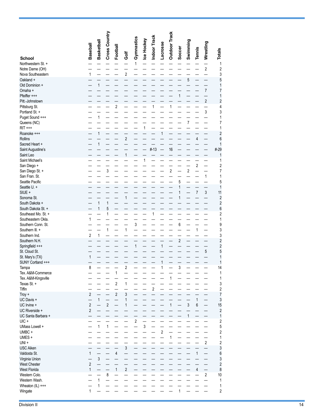|                                           | <b>Baseball</b> | Basketball                   | Cross Country            | Football                |                         | Gymnastics               | Ice Hockey  | Indoor Track | <b>Lacrosse</b> | <b>Outdoor Track</b> | Soccer         | Swimming                | Tennis                  | Wrestling      | <b>Totals</b>           |
|-------------------------------------------|-----------------|------------------------------|--------------------------|-------------------------|-------------------------|--------------------------|-------------|--------------|-----------------|----------------------|----------------|-------------------------|-------------------------|----------------|-------------------------|
| <b>School</b>                             |                 |                              |                          |                         | Ğ                       |                          |             |              |                 |                      |                |                         |                         |                |                         |
| Northwestern St. +                        |                 |                              |                          |                         |                         | $\mathbf{1}$             |             |              |                 |                      |                |                         |                         |                | 1                       |
| Notre Dame (OH)<br>Nova Southeastern      | 1               |                              |                          |                         | $\overline{\mathbf{c}}$ |                          |             |              |                 |                      |                |                         |                         | $\overline{2}$ | $\overline{2}$<br>3     |
| Oakland +                                 |                 |                              |                          |                         |                         |                          |             |              |                 |                      |                | 5                       |                         |                | 5                       |
| Old Dominion +                            |                 | $\mathbf{1}$                 |                          |                         |                         |                          |             |              |                 |                      |                |                         |                         |                | 1                       |
| Omaha +                                   |                 |                              |                          |                         |                         |                          |             |              |                 |                      |                |                         |                         | $\overline{7}$ | 7                       |
| Pfeiffer +++                              |                 |                              |                          |                         |                         |                          |             |              |                 |                      | $\mathbf{1}$   |                         |                         |                | 1                       |
| Pitt.-Johnstown                           |                 |                              |                          |                         |                         |                          |             |              |                 |                      |                |                         |                         | $\overline{c}$ | $\overline{2}$          |
| Pittsburg St.                             |                 |                              |                          | $\overline{\mathbf{c}}$ |                         |                          |             | 1            |                 | 1                    |                |                         |                         |                | 4                       |
| Portland St. +<br>Puget Sound +++         |                 | $\mathbf{1}$                 |                          |                         |                         |                          |             |              |                 |                      |                |                         |                         | 3              | 3<br>1                  |
| Queens (NC)                               |                 |                              |                          |                         |                         |                          |             |              |                 |                      |                | $\overline{7}$          |                         |                | 7                       |
| <b>RIT +++</b>                            |                 |                              |                          |                         |                         |                          | 1           |              |                 |                      |                |                         |                         |                | 1                       |
| Roanoke +++                               |                 | $\mathbf{1}$                 |                          |                         |                         |                          |             |              | 1               |                      |                |                         |                         |                | $\overline{\mathbf{c}}$ |
| Rollins                                   |                 |                              |                          |                         | $\overline{\mathbf{c}}$ |                          |             |              |                 |                      |                |                         | $\overline{4}$          |                | 6                       |
| Sacred Heart +                            |                 | $\mathbf{1}$                 |                          |                         |                         |                          |             |              |                 |                      |                |                         |                         |                | 1                       |
| Saint Augustine's                         |                 |                              |                          |                         |                         |                          |             | #13          |                 | 16                   |                |                         |                         |                | #-29                    |
| Saint Leo                                 |                 |                              |                          |                         | $\mathbf{1}$            |                          |             |              |                 |                      |                |                         |                         |                | 1                       |
| Saint Michael's                           |                 |                              |                          |                         |                         |                          | 1           |              |                 |                      |                |                         | $\overline{\mathbf{c}}$ |                | 1<br>2                  |
| San Diego +<br>San Diego St. +            |                 |                              | 3                        |                         |                         |                          |             |              |                 | $\overline{c}$       |                | $\overline{\mathbf{c}}$ |                         |                | 7                       |
| San Fran. St.                             |                 |                              |                          |                         |                         |                          |             |              |                 |                      |                |                         |                         | 1              | 1                       |
| Seattle Pacific                           |                 |                              |                          |                         |                         |                          |             |              |                 |                      | 5              |                         |                         |                | 5                       |
| Seattle U. +                              |                 |                              |                          |                         |                         |                          |             |              |                 |                      | 1              |                         |                         |                | 1                       |
| SIUE +                                    |                 |                              |                          |                         |                         |                          |             |              |                 |                      | 1              |                         | $\overline{7}$          | 3              | 11                      |
| Sonoma St.                                |                 |                              |                          |                         | 1                       |                          |             |              |                 |                      | 1              |                         |                         |                | $\overline{c}$          |
| South Dakota +                            |                 | $\mathbf{1}$<br>$\mathbf{1}$ | $\mathbf{1}$<br>5        |                         |                         |                          |             |              |                 |                      |                |                         |                         |                | $\overline{\mathbf{c}}$ |
| South Dakota St. +<br>Southeast Mo. St. + |                 |                              | 1                        |                         |                         |                          |             | 1            |                 |                      |                |                         |                         |                | 6<br>2                  |
| Southeastern Okla.                        | 1               |                              |                          |                         |                         |                          |             |              |                 |                      |                |                         |                         |                | 1                       |
| Southern Conn. St.                        |                 |                              |                          |                         |                         | $\overline{3}$           |             |              |                 |                      | 6              |                         |                         |                | 9                       |
| Southern III. +                           |                 |                              | 1                        |                         | $\mathbf{1}$            |                          |             |              |                 |                      |                |                         | 1                       |                | 3                       |
| Southern Ind.                             | $\sqrt{2}$      | 1                            |                          |                         |                         |                          |             |              |                 |                      |                |                         |                         |                | 3                       |
| Southern N.H.                             |                 |                              |                          |                         |                         |                          |             |              |                 |                      | $\overline{c}$ |                         |                         |                | $\overline{c}$          |
| Springfield +++                           |                 |                              |                          |                         |                         | $\mathbf{1}$             |             |              | 1               |                      |                |                         |                         | 5              | $\overline{c}$<br>5     |
| St. Cloud St.<br>St. Mary's (TX)          | 1               |                              |                          |                         |                         |                          |             |              |                 |                      |                |                         |                         |                | 1                       |
| SUNY Cortland +++                         |                 |                              |                          |                         |                         |                          |             |              | 1               |                      |                |                         |                         |                | 1                       |
| Tampa                                     | 8               |                              |                          |                         | $\overline{2}$          |                          |             |              | 1               |                      | 3              |                         |                         |                | 14                      |
| Tex. A&M-Commerce                         |                 |                              |                          | 1                       |                         |                          |             |              |                 |                      |                |                         |                         |                | 1                       |
| Tex. A&M-Kingsville                       |                 |                              |                          |                         |                         |                          |             |              |                 |                      |                |                         |                         |                | 1                       |
| Texas St. +                               |                 |                              |                          | $\overline{2}$          | $\mathbf{1}$            |                          |             |              |                 |                      |                |                         |                         |                | 3                       |
| Tiffin                                    | $\overline{2}$  |                              |                          | $\overline{2}$          | 3                       |                          |             | $\sqrt{2}$   |                 |                      |                |                         |                         |                | 2                       |
| $Troy +$<br>UC Davis +                    |                 | $\mathbf{1}$                 | $\overline{\phantom{0}}$ |                         | 1                       |                          |             |              |                 |                      |                |                         | 1                       | —              | 7<br>3                  |
| UC Irvine +                               | $\sqrt{2}$      |                              | $\sqrt{2}$               |                         | 1                       |                          |             |              |                 | $\mathbf{1}$         |                | $\mathfrak{z}$          | 6                       | —              | 15                      |
| UC Riverside +                            | $\overline{2}$  |                              |                          |                         |                         |                          |             |              |                 |                      |                |                         |                         |                | $\overline{c}$          |
| UC Santa Barbara +                        |                 |                              |                          |                         |                         |                          |             |              |                 |                      |                | $\mathbf{1}$            |                         |                | 1                       |
| UIC +                                     |                 |                              |                          |                         |                         | $\overline{c}$           |             |              |                 |                      |                |                         |                         |                | 2                       |
| UMass Lowell +                            |                 | $\mathbf{1}$                 | $\mathbf{1}$             |                         |                         | $\overline{\phantom{0}}$ | $\mathsf 3$ |              |                 |                      |                |                         |                         |                | 5                       |
| UMBC+                                     |                 |                              |                          |                         |                         |                          |             |              | $\sqrt{2}$      |                      |                |                         |                         |                | 2                       |
| UMES +<br>UNI +                           |                 |                              |                          |                         |                         |                          |             |              |                 | 1                    |                |                         |                         | $\sqrt{2}$     | 1<br>2                  |
| <b>USC Aiken</b>                          |                 |                              |                          |                         | $\mathfrak{z}$          |                          |             |              |                 |                      |                |                         |                         |                | 3                       |
| Valdosta St.                              | $\mathbf{1}$    |                              |                          | 4                       |                         |                          |             |              |                 |                      |                |                         | $\mathbf{1}$            |                | 6                       |
| Virginia Union                            |                 | 3                            |                          |                         |                         |                          |             |              |                 |                      |                |                         |                         |                | 3                       |
| West Chester                              | $\overline{2}$  |                              |                          |                         |                         |                          |             |              |                 |                      |                |                         |                         |                | $\overline{\mathbf{c}}$ |
| West Florida                              | 1               |                              |                          | 1                       | $\sqrt{2}$              |                          |             |              |                 |                      |                |                         | 4                       | —              | 8                       |
| Western Colo.                             |                 |                              | 8                        |                         |                         |                          |             |              |                 |                      |                |                         |                         | $\sqrt{2}$     | 10                      |
| Western Wash.                             |                 | $\mathbf{1}$                 |                          |                         |                         |                          |             |              |                 |                      |                |                         |                         |                | 1                       |
| Wheaton (IL) +++                          | $\mathbf{1}$    | 1                            |                          |                         |                         |                          |             |              |                 |                      | 1              |                         |                         |                | 1<br>2                  |
| Wingate                                   |                 |                              |                          |                         |                         |                          |             |              |                 |                      |                |                         |                         |                |                         |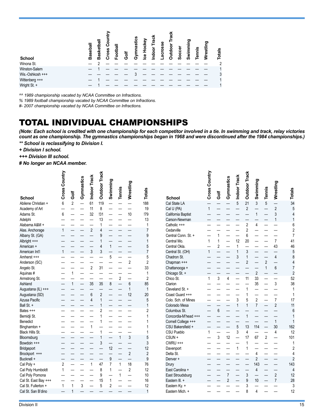| <b>School</b>    | Basebal | ω<br>డై<br>m | ross<br>c١ | $\overline{5}$ | 능<br>O | astics<br>ᢛ | ckey<br>ပ္ပ | နို | n<br>ក្ត | o<br>Š<br>റ | ω<br>Socc | င္ဘာ<br><b>in</b> | ennis | restlin | <b>otals</b> |
|------------------|---------|--------------|------------|----------------|--------|-------------|-------------|-----|----------|-------------|-----------|-------------------|-------|---------|--------------|
| Winona St.       |         |              |            |                |        |             |             |     |          |             |           |                   |       |         | 2            |
| Winston-Salem    |         |              |            |                |        |             |             |     |          |             |           |                   |       |         |              |
| Wis.-Oshkosh +++ |         |              |            |                |        |             |             |     |          |             |           |                   |       |         | 3            |
| Wittenberg +++   |         |              |            |                |        |             |             |     |          |             |           |                   |       |         |              |
| Wright St. +     |         |              |            |                |        |             |             |     |          |             |           |                   |       |         |              |

*^^ 1989 championship vacated by NCAA Committee on Infractions.*

*% 1989 football championship vacated by NCAA Committee on Infractions.* 

*#- 2007 championship vacated by NCAA Committee on Infractions.*

# TOTAL INDIVIDUAL CHAMPIONSHIPS

*(Note: Each school is credited with one championship for each competitor involved in a tie. In swimming and track, relay victories count as one championship. The gymnastics championships began in 1968 and were discontinued after the 1984 championships.)*

*\*\* School is reclassifying to Division I.*

*+ Division I school.*

*+++ Division III school.*

*# No longer an NCAA member.*

|                                      | <b>Cross Country</b> | Golf           | Gymnastics               | Indoor Track   | <b>Outdoor Track</b>         | Swimming       | Tennis         | Wrestling      | Totals         |
|--------------------------------------|----------------------|----------------|--------------------------|----------------|------------------------------|----------------|----------------|----------------|----------------|
| <b>School</b><br>Abilene Christian + | 6                    | $\overline{2}$ | $\overline{\phantom{0}}$ | 61             | 119                          |                |                |                | 188            |
| Academy of Art                       |                      |                |                          | 11             | 8                            |                |                |                | 19             |
| Adams St.                            | 6                    |                |                          | 32             | !31                          |                |                | 10             | !79            |
| Adelphi                              |                      |                |                          |                | 13                           |                |                |                | 13             |
| Alabama A&M +                        |                      |                |                          |                | 1                            |                |                |                | 1              |
| Alas. Anchorage                      | $\mathbf{1}$         |                |                          | $\overline{c}$ | $\overline{4}$               |                |                |                | 7              |
| Albany St. (GA)                      |                      |                |                          |                | 9                            |                |                |                | 9              |
| Albright +++                         |                      |                |                          |                | $\mathbf{1}$                 |                |                |                | $\mathbf{1}$   |
| American +                           |                      |                |                          |                | $\overline{4}$               | $\mathbf{1}$   |                |                | 5              |
| American Int'l                       | $\mathbf{1}$         |                |                          | 3              | 3                            |                |                |                | $\overline{7}$ |
| Amherst +++                          |                      |                |                          |                |                              | 5              |                |                | 5              |
| Anderson (SC)                        |                      |                |                          |                |                              |                |                | $\overline{2}$ | $\overline{2}$ |
| Angelo St.                           |                      |                |                          | $\overline{2}$ | 31                           |                |                |                | 33             |
| Aquinas#                             |                      | $\mathbf{1}$   |                          |                |                              |                |                |                | 1              |
| Armstrong St.                        |                      |                |                          |                |                              |                | $\overline{2}$ |                | $\overline{2}$ |
| Ashland                              |                      | $\overline{1}$ |                          | 35             | 35                           | 8              |                | 6              | 85             |
| Augustana (IL) +++                   |                      |                |                          |                |                              |                |                | 1              | $\mathbf{1}$   |
| Augustana (SD)                       |                      |                |                          | 6              | $\overline{2}$               |                |                | 12             | 20             |
| Azusa Pacific                        |                      |                |                          | $\overline{4}$ | $\mathbf{1}$                 |                |                |                | 5              |
| Ball St +                            |                      |                |                          |                | 1                            |                |                |                | $\mathbf{1}$   |
| Bates +++                            |                      |                |                          |                | $\overline{2}$               |                |                |                | $\overline{2}$ |
| Bemidji St.                          |                      |                |                          |                | 1                            |                |                |                | 1              |
| <b>Benedict</b>                      |                      |                |                          |                | 1                            |                |                |                | 1              |
| Binghamton +                         |                      |                |                          | $\mathbf{1}$   |                              |                |                |                | 1              |
| Black Hills St.                      |                      |                |                          |                | $\mathbf{1}$<br>$\mathbf{1}$ |                | $\overline{1}$ | 3              | 1              |
| Bloomsburg<br>Bowdoin +++            |                      |                |                          |                | 3                            |                |                |                | 5<br>3         |
| Bridgeport                           |                      |                |                          |                |                              | 12             |                |                | 12             |
| Brockport +++                        |                      |                |                          |                |                              |                |                | $\overline{2}$ | $\overline{c}$ |
| Bucknell +                           |                      |                |                          |                |                              | 9              |                |                | 9              |
| Cal Poly +                           | $\overline{2}$       |                |                          | $\mathbf{1}$   | 47                           | $\overline{7}$ | $\mathbf{1}$   | 18             | 76             |
| Cal Poly Humboldt                    | 1                    |                |                          |                | 8                            | 1              |                | $\overline{2}$ | 12             |
| Cal Poly Pomona                      |                      |                |                          |                | 9                            |                | 1              |                | 10             |
| Cal St. East Bay +++                 |                      |                |                          |                | 15                           | $\mathbf 1$    |                |                | 16             |
| Cal St. Fullerton +                  | $\mathbf{1}$         | $\mathbf{1}$   | 3                        |                | 5                            | $\overline{2}$ |                |                | 12             |
| Cal St. San B'dino                   |                      | $\overline{1}$ |                          |                |                              |                |                |                | $\mathbf{1}$   |

| Cal State LA<br>California Baptist<br>Carson-Newman<br>Catholic +++<br>Central Conn. St. +<br>Central Okla.<br>Central St. (OH)<br>Chadron St.<br>Chapman +++<br>Chattanooga +<br>Chicago St. +<br>Cleveland St. +<br>Coast Guard +++ | Cross Country<br>$\overline{1}$<br>$\mathbf{1}$<br>$\mathbf{1}$<br>$\overline{1}$<br>$\overline{1}$ | Golf<br>$\mathbf{1}$<br>$\overline{1}$<br>$\overline{\mathbf{c}}$<br>$\frac{1}{3}$<br>$\boldsymbol{6}$<br>$\mathfrak{z}$ | Gymnastics<br>$\overline{4}$<br>12 | Indoor Track<br>$\overline{5}$<br>12<br>$\mathbf{1}$<br>$\mathbf{1}$<br>3<br>3<br>$\overline{1}$<br>5<br>$\overline{3}$<br>$\overline{\phantom{0}}$<br>$\mathbf{1}$ | <b>Outdoor Track</b><br>21<br>$\overline{c}$<br>$\overline{\mathbf{c}}$<br>$\overline{c}$<br>6<br>20<br>3<br>$\mathbf{1}$<br>$\overline{c}$<br>11<br>1<br>$\mathbf{1}$<br>5<br>$\mathbf{1}$<br>$\mathbf{1}$<br>13<br>$\overline{4}$<br>17<br>$\mathbf{1}$<br>$\mathbf{1}$ | Swimming<br>$\mathfrak{z}$<br>$\overline{a}$<br>$\mathbf{1}$<br>$\overline{4}$<br>$\overline{2}$<br>33<br>35<br>$\overline{\mathbf{c}}$<br>$\overline{7}$<br>114<br>67 | on Tennis<br>$\overline{c}$<br>$\mathbf{1}$<br>$\overline{2}$ | Wrestling<br>$\overline{c}$<br>3<br>$\mathbf{1}$<br>$\overline{7}$<br>43<br>$\overline{4}$<br>6<br>3<br>$\overline{1}$<br>$\overline{2}$<br>$\mathbf{1}$<br>30<br>$\overline{4}$ | Totals<br>34<br>5<br>$\begin{array}{c} 4 \\ 1 \end{array}$<br>$\overline{6}$<br>$\overline{c}$<br>$\overline{7}$<br>41<br>46<br>5<br>8<br>$\overline{\mathbf{4}}$<br>$\overline{7}$<br>$\overline{c}$<br>52<br>38<br>1<br>$\mathbf{1}$<br>17<br>11<br>6<br>$\mathbf{1}$<br>$\overline{1}$<br>162<br>12<br>101<br>$\mathbf{1}$<br>$\overline{\mathbf{c}}$ |
|---------------------------------------------------------------------------------------------------------------------------------------------------------------------------------------------------------------------------------------|-----------------------------------------------------------------------------------------------------|--------------------------------------------------------------------------------------------------------------------------|------------------------------------|---------------------------------------------------------------------------------------------------------------------------------------------------------------------|---------------------------------------------------------------------------------------------------------------------------------------------------------------------------------------------------------------------------------------------------------------------------|------------------------------------------------------------------------------------------------------------------------------------------------------------------------|---------------------------------------------------------------|----------------------------------------------------------------------------------------------------------------------------------------------------------------------------------|----------------------------------------------------------------------------------------------------------------------------------------------------------------------------------------------------------------------------------------------------------------------------------------------------------------------------------------------------------|
| Colo. Sch. of Mines<br>Colorado Mesa<br>Columbus St.<br>Concordia-M'head +++<br>Cornell College +++<br>CSU Bakersfield +<br><b>CSU Pueblo</b><br>$CWRU + + +$<br>Davenport                                                            |                                                                                                     |                                                                                                                          | $\overline{a}$                     |                                                                                                                                                                     |                                                                                                                                                                                                                                                                           | $\overline{\mathbf{4}}$                                                                                                                                                |                                                               |                                                                                                                                                                                  | $\overline{\mathbf{4}}$                                                                                                                                                                                                                                                                                                                                  |
| East Carolina +<br>East Stroudsburg<br>Eastern III. +<br>Eastern Ky. +<br>Eastern Mich. +                                                                                                                                             |                                                                                                     |                                                                                                                          | $\overline{7}$<br>$\overline{2}$   |                                                                                                                                                                     | 3<br>9<br>3<br>8                                                                                                                                                                                                                                                          | $\overline{2}$<br>143<br>4<br>10<br>$\overline{4}$                                                                                                                     |                                                               | $\overline{c}$<br>$\overline{7}$                                                                                                                                                 | $\overline{2}$<br>143<br>$\overline{\mathbf{4}}$<br>12<br>28<br>3<br>12                                                                                                                                                                                                                                                                                  |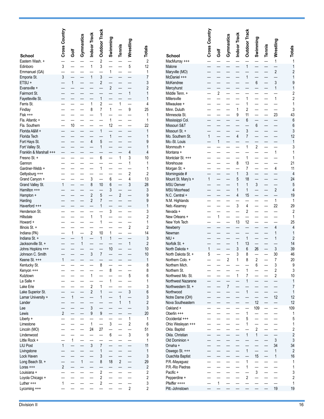|                                  | Cross Country |      | Gymnastics | Indoor Track                     | <b>Outdoor Track</b>             | Swimming       | Tennis         | Wrestling                | <b>Totals</b>                  |                                        | Cross Country |                | Gymnastics     | Indoor Track          | Outdoor Track  | Swimming       | <b>Tennis</b> | Wrestling                | <b>Totals</b>       |
|----------------------------------|---------------|------|------------|----------------------------------|----------------------------------|----------------|----------------|--------------------------|--------------------------------|----------------------------------------|---------------|----------------|----------------|-----------------------|----------------|----------------|---------------|--------------------------|---------------------|
| <b>School</b>                    |               | Golf |            |                                  |                                  |                |                |                          |                                | <b>School</b>                          |               | ā              |                |                       |                |                |               |                          |                     |
| Eastern Wash. +                  |               |      |            |                                  | $\sqrt{2}$                       |                |                |                          | $\sqrt{2}$                     | MacMurray +++                          |               |                |                |                       |                |                |               | $\mathbf{1}$             | $\mathbf{1}$        |
| Edinboro                         | 3             |      |            |                                  | 3                                |                |                | 5                        | 12                             | Malone                                 |               |                |                |                       |                |                |               |                          | $\mathbf{1}$        |
| Emmanuel (GA)                    |               |      |            |                                  |                                  | 1              |                |                          | $\mathbf{1}$                   | Maryville (MO)                         |               |                |                |                       |                |                |               | $\overline{2}$           | $\overline{2}$      |
| Emporia St.                      | 3             |      |            |                                  | 3                                |                |                |                          | $\overline{7}$                 | McDaniel +++                           |               |                |                |                       |                |                |               |                          | 1                   |
| ETSU +                           |               |      |            |                                  | $\overline{c}$                   | $\overline{2}$ |                |                          | 3                              | McKendree                              |               |                |                |                       |                | 6              |               | 3<br>1                   | 9                   |
| Evansville +<br>Fairmont St.     |               |      |            |                                  |                                  |                |                | 1                        | $\overline{c}$<br>$\mathbf{1}$ | Mercyhurst<br>Middle Tenn. +           |               | $\overline{2}$ |                |                       |                |                |               |                          | $\overline{2}$      |
| Fayetteville St.                 |               |      |            |                                  | $\mathbf{1}$                     |                |                |                          | $\mathbf{1}$                   | Millersville                           |               |                |                |                       |                |                |               | 1                        | $\overline{2}$      |
| Ferris St.                       |               |      |            |                                  | $\overline{\mathbf{c}}$          |                | 1              |                          | 4                              | Milwaukee +                            |               |                |                |                       |                |                |               |                          | 1                   |
| Findlay                          |               |      |            | 8                                | $\overline{7}$                   |                |                | 9                        | 25                             | Minn. Duluth                           |               |                |                |                       | 2              |                |               |                          | 3                   |
| $Fisk$ +++                       |               |      |            |                                  |                                  |                |                |                          | $\mathbf{1}$                   | Minnesota St.                          |               |                |                | 9                     | 11             |                |               | 23                       | 43                  |
| Fla. Atlantic +                  |               |      |            |                                  |                                  |                |                |                          | 1                              | Mississippi Col.                       |               |                |                |                       | 6              |                |               |                          | 6                   |
| Fla. Southern                    |               | 10   |            |                                  |                                  | 12             |                |                          | 22                             | Missouri S&T                           |               |                |                |                       |                | 6              |               |                          | 6                   |
| Florida A&M +                    |               |      |            |                                  |                                  |                |                |                          | $\mathbf{1}$                   | Missouri St. +                         |               |                |                | $\boldsymbol{\Delta}$ | 3              |                |               |                          | 3                   |
| Florida Tech                     |               |      |            | 4                                | 5                                |                |                |                          | 1<br>9                         | Mo. Southern St.<br>Mo.-St. Louis      |               | 1              |                |                       |                |                |               |                          | 12<br>$\mathbf{1}$  |
| Fort Hays St.<br>Fort Valley St. |               |      |            |                                  |                                  |                |                |                          | 1                              | Monmouth +                             |               |                |                |                       |                | 2              |               |                          | 3                   |
| Franklin & Marshall +++          |               |      |            |                                  |                                  |                |                | 4                        | 4                              | Montana +                              |               |                |                |                       |                |                |               | 1                        | 1                   |
| Fresno St. +                     |               |      |            |                                  | 6                                |                | 1              | 3                        | 10                             | Montclair St. +++                      |               |                |                |                       |                |                |               |                          |                     |
| Gannon                           |               |      |            |                                  |                                  |                |                | 1                        | $\mathbf{1}$                   | Morehouse                              |               |                |                | 8                     | 13             |                |               |                          | 21                  |
| Gardner-Webb +                   |               |      |            |                                  |                                  |                |                |                          | 1                              | Morgan St. +                           |               |                |                |                       | $\overline{7}$ |                |               | 4                        | 11                  |
| Gettysburg +++                   |               |      |            |                                  |                                  |                |                | $\overline{2}$           | $\overline{c}$                 | Morningside #                          |               |                |                | 1                     | 3              |                |               |                          | 4                   |
| Grand Canyon +                   |               |      |            | 3                                |                                  | 6              |                | 4                        | 13                             | Mount St. Mary's +                     | 1             |                |                | 5                     | 18             |                |               |                          | 24                  |
| Grand Valley St.                 |               |      |            | 8                                | 10                               | 6              |                | 3                        | 28                             | <b>MSU Denver</b>                      |               |                |                | 1                     | $\mathbf{1}$   | 3              |               |                          | 5                   |
| Hamilton +++                     |               |      |            |                                  |                                  | 3              |                |                          | 3                              | <b>MSU Moorhead</b>                    |               |                |                |                       | 1              |                |               | $\overline{2}$           | 4                   |
| Hampton +                        |               |      |            | $\overline{c}$<br>$\overline{2}$ | 5<br>$\overline{7}$              |                | 2              |                          | 9                              | N.C. Central +                         |               |                |                | $\overline{4}$        | 15             |                |               |                          | 19<br>1             |
| Harding<br>Haverford +++         |               |      |            |                                  |                                  |                |                |                          | 9<br>1                         | N.M. Highlands<br>Neb.-Kearney         |               |                |                | 3                     | Δ              |                |               | 1<br>22                  | 29                  |
| Henderson St.                    |               |      |            |                                  |                                  | 3              |                |                          | 3                              | Nevada +                               |               |                |                |                       | $\overline{2}$ |                |               |                          | $\overline{2}$      |
| Hillsdale                        |               |      |            |                                  | 1                                |                |                |                          | 2                              | New Orleans +                          |               |                |                |                       |                |                |               |                          | $\mathbf{1}$        |
| Howard +                         |               |      |            |                                  |                                  |                |                |                          | 1                              | New York Tech                          |               |                |                | 13                    | 12             |                |               |                          | 25                  |
| Illinois St. +                   |               |      |            |                                  |                                  |                |                | $\overline{2}$           | $\overline{2}$                 | Newberry                               |               |                |                |                       |                |                |               | 4                        | $\overline{4}$      |
| Indiana (PA)                     |               |      |            | $\overline{2}$                   | 10                               | 1              |                |                          | 14                             | Newman                                 |               |                |                |                       |                |                |               | $\mathbf{1}$             | $\mathbf{1}$        |
| Indiana St. +                    |               |      | 1          |                                  | $\mathbf{1}$                     | 1              |                |                          | $\mathbf{3}$                   | $NIU +$                                |               |                |                |                       | 1              |                |               | $\mathbf{1}$             | $\overline{2}$      |
| Jacksonville St. +               |               |      |            |                                  |                                  |                |                | $\mathbf{1}$             | $\sqrt{2}$                     | Norfolk St. +                          |               |                |                | $\mathbf{1}$          | 13             |                |               |                          | 14                  |
| Johns Hopkins +++                |               |      |            |                                  |                                  | 10             |                |                          | 10                             | North Dakota +                         |               |                |                | 3                     | 6              | 26             |               | 3                        | 39                  |
| Johnson C. Smith                 |               |      |            | 3                                | $\overline{7}$                   |                |                |                          | 10<br>$\mathbf{1}$             | North Dakota St. +<br>Northern Colo. + | 5             |                | $\overline{2}$ | 3<br>1                | 8<br>8         | $\overline{c}$ |               | 30<br>$\overline{7}$     | 46<br>20            |
| Keene St. +++<br>Kentucky St.    |               |      |            |                                  | 8                                |                |                |                          | 8                              |                                        |               |                |                |                       |                | 6              |               | 3                        |                     |
| Kenyon +++                       |               |      |            |                                  |                                  | 8              |                |                          | 8                              | Northern Mich.<br>Northern St.         |               |                |                |                       |                |                |               | $\sqrt{2}$               | 3                   |
| Kutztown                         |               |      |            | 1                                |                                  |                |                | 5                        | 6                              | Northwest Mo. St.                      |               |                |                | 1                     |                |                |               | $\overline{\mathbf{c}}$  | 10                  |
| La Salle +                       |               |      |            |                                  |                                  | 1              |                | $\overline{\phantom{0}}$ | 1                              | Northwest Nazarene                     |               |                |                |                       |                |                |               | $\overline{\phantom{0}}$ | $\mathbf{1}$        |
| Lake Erie                        |               |      |            | $\overline{2}$                   | $\mathbf{1}$                     |                |                |                          | 3                              | Northwestern St. +                     |               |                | $\overline{7}$ |                       |                |                |               |                          | $\overline{7}$      |
| Lake Superior St.                |               |      |            | $\overline{2}$                   | $\mathbf{1}$                     |                |                | 3                        | $6\phantom{1}6$                | Northwood                              |               |                |                |                       |                |                |               |                          | $\mathbf{1}$        |
| Lamar University +               |               |      |            |                                  | $\mathbf{1}$                     |                |                | $\overline{\phantom{0}}$ | 3                              | Notre Dame (OH)                        |               |                |                |                       |                |                |               | 12                       | 12                  |
| Lander                           |               |      |            |                                  |                                  |                | $\mathbf{1}$   | $\mathbf{1}$             | $\overline{2}$                 | Nova Southeastern                      |               |                |                |                       |                | 12             |               | $\overline{\phantom{0}}$ | 12                  |
| Lee                              |               |      |            | 3                                |                                  |                |                |                          | $\mathbf{3}$                   | Oakland +                              |               |                |                |                       |                | 109            |               | $\overline{\phantom{0}}$ | 109                 |
| Lewis                            | 2             |      |            | 9                                | 9                                |                |                | 1                        | 20<br>$\mathbf{1}$             | Oberlin +++<br>Occidental +++          |               |                |                |                       |                |                |               |                          | 1<br>5              |
| Liberty +<br>Limestone           |               |      |            | 1                                |                                  | 3              |                | $\overline{2}$           | 6                              | Ohio Wesleyan +++                      |               |                |                |                       |                |                |               |                          | $\mathbf{1}$        |
| Lincoln (MO)                     |               |      |            | 24                               | 27                               |                |                |                          | 51                             | Okla. Baptist                          |               |                |                |                       |                | $\overline{2}$ |               |                          | $\overline{c}$      |
| Lindenwood                       |               |      |            |                                  |                                  | 6              |                | 3                        | 9                              | Okla. Christian                        |               |                |                |                       |                | 1              |               |                          | $\overline{2}$      |
| Little Rock +                    |               |      |            |                                  |                                  |                |                |                          | $\mathbf{1}$                   | Old Dominion +                         |               |                |                |                       |                |                |               | 3                        | 3                   |
| <b>LIU Post</b>                  |               |      |            | 3                                | $\overline{7}$                   |                |                |                          | 11                             | Omaha +                                |               |                |                |                       |                |                |               | 34                       | 34                  |
| Livingstone                      |               |      |            |                                  | $\mathbf{1}$                     |                |                |                          | $\mathbf{1}$                   | Oswego St. +++                         |               |                |                |                       |                |                |               | $\mathbf{1}$             | $\overline{2}$      |
| Lock Haven                       |               |      |            |                                  | 3                                |                |                |                          | $\mathbf{3}$                   | <b>Ouachita Baptist</b>                |               |                |                |                       |                | 15             |               | $\mathbf{1}$             | 16                  |
| Long Beach St. +                 |               |      | 1          |                                  | 8                                | 18             | $\overline{2}$ | $\overline{\phantom{0}}$ | 29                             | P.R.-Mayaguez                          |               |                |                |                       | 1              |                |               |                          | 1                   |
| $Loras$ +++                      | 2             |      |            |                                  |                                  |                |                |                          | $\overline{2}$                 | P.R.-Rio Piedras                       |               |                |                |                       |                |                |               |                          | 1                   |
| Louisiana +                      |               |      |            |                                  | $\overline{2}$                   |                |                |                          | $\overline{2}$                 | Pacific +                              |               |                |                |                       | $\overline{2}$ | 3              |               |                          | 3                   |
| Loyola Chicago +<br>Luther +++   |               |      |            |                                  | $\overline{2}$<br>$\overline{2}$ |                |                |                          | 2<br>3                         | Pepperdine +<br>Pfeiffer ++++          |               | 1              |                |                       |                |                |               |                          | $\overline{c}$<br>1 |
| Lycoming +++                     |               |      |            |                                  |                                  |                |                | $\overline{2}$           | 2                              | Pitt.-Johnstown                        |               |                |                |                       |                |                |               | 19                       | 19                  |
|                                  |               |      |            |                                  |                                  |                |                |                          |                                |                                        |               |                |                |                       |                |                |               |                          |                     |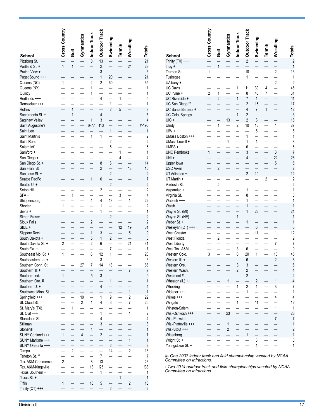|                                     | Cross Country  |                          | Gymnastics               | <b>Indoor Track</b>      | Outdoor Track            | Swimming             |              |                     |                      |                                        |
|-------------------------------------|----------------|--------------------------|--------------------------|--------------------------|--------------------------|----------------------|--------------|---------------------|----------------------|----------------------------------------|
| School                              |                | ā                        |                          |                          |                          |                      | Tennis       | Wrestling           | Totals               | <b>School</b>                          |
| Pittsburg St.                       |                |                          |                          | $\boldsymbol{8}$         | 13                       |                      |              |                     | 21                   | Trinity $(TX)$ ++                      |
| Portland St. +                      | $\mathbf{1}$   | $\mathbf{1}$             |                          |                          | $\overline{c}$           |                      |              | 24                  | 28                   | $Troy +$                               |
| Prairie View +                      |                |                          |                          |                          | 3<br>1                   | 20                   |              |                     | 3<br>21              | Truman St.                             |
| Puget Sound +++<br>Queens (NC)      | 1              |                          |                          | $\overline{2}$           | 2                        | 60                   |              |                     | 65                   | Tuskegee<br>UAlbany +                  |
| Queens (NY)                         |                |                          |                          | 1                        |                          |                      |              |                     | 1                    | UC Davis +                             |
| Quincy                              |                |                          |                          | 1                        |                          |                      |              |                     | 1                    | UC Irvine +                            |
| Redlands +++                        |                |                          |                          |                          | 4                        |                      | 1            |                     | 5                    | UC Riverside -                         |
| Rensselaer +++                      |                | $\mathbf{1}$             |                          |                          | $\overline{\phantom{0}}$ | 1<br>$\overline{2}$  |              |                     | 1                    | UC San Diego                           |
| <b>Rollins</b><br>Sacramento St. +  |                | 1                        |                          |                          | 4                        |                      | 5            |                     | 8<br>5               | <b>UC Santa Barl</b><br>UC-Colo. Sprir |
| Saginaw Valley                      |                |                          |                          | 1                        | 3                        |                      |              |                     | 4                    | UIC +                                  |
| Saint Augustine's                   |                |                          |                          | #-77                     | 113                      |                      |              |                     | #-190                | Ulndy                                  |
| Saint Leo                           |                |                          |                          |                          |                          | 1                    |              |                     | 1                    | UIW +                                  |
| Saint Martin's                      |                |                          |                          | $\mathbf{1}$             | $\mathbf{1}$             |                      |              |                     | 2                    | UMass Boston                           |
| Saint Rose                          |                |                          |                          |                          |                          | $\overline{2}$       |              |                     | $\overline{2}$       | <b>UMass Lowell</b>                    |
| Salem Int'l                         |                |                          |                          |                          |                          | 5                    |              |                     | 5                    | UMES +                                 |
| Samford +                           |                |                          |                          |                          |                          |                      | 1<br>4       |                     | 1<br>4               | <b>UNC Pembrok</b><br>$UNI +$          |
| San Diego +<br>San Diego St. +      |                |                          |                          |                          | 8                        | 6                    |              |                     | 14                   | Upper lowa                             |
| San Fran. St.                       |                |                          |                          |                          | $\overline{c}$           |                      |              | 13                  | 15                   | <b>USC Aiken</b>                       |
| San Jose St. +                      |                |                          |                          |                          |                          | $\overline{2}$       |              |                     | $\overline{2}$       | UT Arlington +                         |
| Seattle Pacific                     |                |                          |                          | $\mathbf{1}$             | 6                        |                      |              |                     | 7                    | UT Martin +                            |
| Seattle U. +                        |                |                          |                          |                          |                          | $\overline{2}$       |              |                     | $\overline{2}$       | Valdosta St.                           |
| Seton Hill                          |                |                          |                          |                          | $\overline{2}$           |                      |              |                     | 2                    | Valparaiso +                           |
| SFA+                                |                | $\mathbf{1}$             |                          |                          |                          |                      | 3            |                     | 4                    | Virginia St.                           |
| Shippensburg<br>Shorter             | $\mathbf{1}$   |                          |                          | 4                        | 4<br>1                   | 13                   |              | $\mathbf{1}$        | 22<br>2              | Wabash +++<br>Walsh                    |
| Siena +                             |                |                          |                          |                          | 1                        |                      |              |                     | 1                    | Wayne St. (MI)                         |
| Simon Fraser                        |                |                          |                          | $\overline{\phantom{0}}$ |                          | $\overline{2}$       |              |                     | $\overline{2}$       | Wayne St. (NE                          |
| <b>Sioux Falls</b>                  |                |                          |                          | $\overline{2}$           |                          |                      |              |                     | $\overline{2}$       | Weber St. +                            |
| SIUE +                              |                |                          |                          |                          |                          |                      | 12           | 19                  | 31                   | Wesleyan (CT                           |
| <b>Slippery Rock</b>                |                |                          |                          | 1                        | 3                        |                      |              | 5                   | 9                    | <b>West Chester</b>                    |
| South Dakota +                      |                |                          |                          | 5                        | 1                        | $\overline{2}$       |              |                     | 8                    | <b>West Florida</b>                    |
| South Dakota St. +                  | 2              |                          |                          | $\overline{2}$           | 6                        |                      |              | 21                  | 31                   | <b>West Liberty</b>                    |
| South Fla. +<br>Southeast Mo. St. + | 1              |                          |                          | 6                        | 12                       | 7<br>1               |              |                     | 7<br>20              | West Tex, A&N<br>Western Colo.         |
| Southeastern La. +                  |                |                          |                          |                          | 3                        |                      |              |                     | 3                    | Western III. +                         |
| Southern Conn. St.                  |                |                          | 27                       | $\boldsymbol{7}$         | 14                       | 18                   |              |                     | 66                   | Western Ore.                           |
| Southern III. +                     |                |                          |                          |                          |                          |                      |              | 7                   | 7                    | Western Wash                           |
| Southern Ind.                       | $\mathbf{1}$   |                          | $\overline{\phantom{0}}$ | 5                        | 3                        |                      |              |                     | 9                    | Westmont#                              |
| Southern Ore. #                     |                |                          |                          |                          |                          | $\mathbf{1}$         |              |                     | $\mathbf{1}$         | Wheaton $(IL) +$                       |
| Southern U. +                       |                |                          |                          |                          | 4                        |                      |              |                     | 4                    | Wheeling                               |
| Southwest Minn. St.                 |                |                          | —                        |                          | —                        |                      |              | $\mathbf{1}$        | $\mathbf{1}$         | Widener +++                            |
| Springfield +++<br>St. Cloud St.    |                |                          | 10<br>$\overline{2}$     | $\mathbf{1}$             | 1<br>4                   | 9<br>6               |              | 2<br>$\overline{7}$ | 22<br>20             | Wilkes $***$<br>Wingate                |
| St. Mary's (TX)                     |                | $\mathbf{1}$             | $\overline{\phantom{0}}$ |                          |                          |                      |              |                     | 1                    | Winston-Salen                          |
| $St. Olaf +++$                      |                |                          |                          |                          | 1                        |                      |              | $\mathbf{1}$        | $\overline{c}$       | Wis.-Oshkosh                           |
| Stanislaus St.                      |                |                          |                          |                          | 4                        |                      |              |                     | 4                    | Wis.-Parkside                          |
| Stillman                            |                |                          |                          |                          | 3                        |                      |              |                     | 3                    | Wis.-Platteville                       |
| Stonehill                           |                |                          |                          | $\mathbf{1}$             | $\overline{\phantom{0}}$ |                      |              |                     | 1                    | Wis.-Stout +++                         |
| SUNY Cortland +++                   | $\mathbf{1}$   |                          | 4                        |                          | $\overline{2}$           |                      |              |                     | $\overline{7}$       | Wittenberg ++                          |
| SUNY Maritime +++                   |                |                          | —                        |                          |                          |                      |              | $\mathbf{1}$        | $\mathbf{1}$         | Wright St. +                           |
| SUNY Oneonta +++<br>Tampa           |                | $\overline{2}$           |                          |                          |                          | $\overline{2}$<br>14 |              | $\overline{2}$      | $\overline{2}$<br>18 | Youngstown S                           |
| Tarleton St. **                     |                | $\overline{\phantom{0}}$ |                          | $\overline{\phantom{0}}$ | $\overline{7}$           |                      |              |                     | 7                    | #- One 2007                            |
| Tex. A&M-Commerce                   | $\overline{2}$ | $\overline{\phantom{0}}$ |                          | 8                        | 13                       |                      |              |                     | 23                   | Committee d                            |
| Tex. A&M-Kingsville                 |                |                          |                          | 13                       | !25                      |                      |              |                     | !38                  | ! Two 2014 เ                           |
| Texas Southern +                    |                |                          |                          | $\overline{\phantom{0}}$ | $\mathbf{1}$             |                      |              |                     | 1                    | Committee d                            |
| Texas St. +                         |                |                          |                          | $\overline{a}$           | $\overline{a}$           |                      | $\mathbf{1}$ | $\overline{a}$      | $\mathbf{1}$         |                                        |
| Tiffin                              | $\mathbf{1}$   |                          |                          | 10                       | 5                        |                      |              | $\mathbf{2}$        | 18                   |                                        |
| Trinity $(CT)$ +++                  |                |                          |                          | $\overline{\phantom{0}}$ | $\overline{\phantom{0}}$ | $\overline{2}$       |              |                     | $\overline{2}$       |                                        |

|                                              | Cross Country  | Golf                     | Gymnastics               | Indoor Track             | <b>Outdoor Track</b>    | Swimming                 | Tennis                   | Wrestling                | Totals                                  |
|----------------------------------------------|----------------|--------------------------|--------------------------|--------------------------|-------------------------|--------------------------|--------------------------|--------------------------|-----------------------------------------|
| <b>School</b>                                |                |                          |                          |                          | $\overline{c}$          |                          |                          |                          |                                         |
| Trinity $(TX)$ +++<br>$Troy +$               | $\overline{a}$ | $\overline{1}$           | $\overline{a}$           | $\overline{\phantom{a}}$ |                         |                          |                          | $\overline{\phantom{a}}$ | $\overline{c}$<br>$\mathbf{1}$          |
| Truman St.                                   | $\overline{1}$ |                          |                          | —                        | 10                      |                          | $\overline{\phantom{0}}$ | $\overline{\mathbf{c}}$  | 13                                      |
| Tuskegee                                     |                |                          |                          |                          | $\mathbf{1}$            |                          |                          |                          | $\mathbf{1}$                            |
| UAlbany +                                    |                |                          |                          |                          |                         |                          |                          | $\overline{\mathbf{c}}$  | $\overline{\mathbf{c}}$                 |
| UC Davis +                                   |                |                          |                          | $\mathbf 1$              | 11                      | 30                       | 4                        | $\overline{\phantom{0}}$ | 46                                      |
| UC Irvine +                                  | $\overline{2}$ | $\mathbf{1}$             |                          |                          | 8                       | 43                       | 7                        |                          | 61                                      |
| UC Riverside +<br>UC San Diego <sup>**</sup> |                | $\sqrt{2}$               |                          | $\mathbf{1}$             | 7<br>$\overline{2}$     | $\mathbf{1}$<br>15       | $\overline{\phantom{0}}$ |                          | 11<br>17                                |
| UC Santa Barbara +                           |                |                          |                          |                          | 4                       | 7                        | $\mathbf{1}$             |                          | 12                                      |
| UC-Colo. Springs                             |                |                          |                          | $\mathbf{1}$             | $\overline{2}$          |                          |                          |                          | $\mathfrak{z}$                          |
| UIC +                                        |                |                          | 13                       | $\overline{\phantom{0}}$ | $\overline{2}$          | 3                        |                          |                          | 18                                      |
| Ulndy                                        |                | $\mathbf{1}$             |                          | $\overline{\mathbf{c}}$  | 10                      | 13                       |                          | $\mathbf 1$              | 27                                      |
| UIW +                                        |                |                          |                          |                          |                         | 5                        |                          |                          | 5                                       |
| UMass Boston +++                             |                |                          |                          |                          | $\mathbf 1$             |                          |                          |                          | $\mathbf{1}$                            |
| UMass Lowell +<br>UMES+                      |                |                          | $\mathbf{1}$             |                          | 1<br>6                  | $\mathbf 1$              |                          |                          | 3<br>6                                  |
| <b>UNC Pembroke</b>                          | $\mathbf{1}$   |                          |                          |                          | 3                       |                          |                          | 3                        | $\overline{\mathfrak{c}}$               |
| UNI +                                        |                |                          |                          |                          | 4                       |                          | $\overline{\phantom{0}}$ | 22                       | 26                                      |
| Upper lowa                                   |                |                          |                          |                          |                         |                          |                          | 5                        | 5                                       |
| USC Aiken                                    |                | $\sqrt{2}$               |                          |                          |                         |                          |                          |                          | $\overline{c}$                          |
| UT Arlington +                               |                |                          |                          |                          | $\overline{2}$          | 10                       |                          |                          | 12                                      |
| UT Martin +                                  |                | $\overline{2}$           |                          |                          |                         |                          | 2                        |                          | $\overline{\mathbf{c}}$                 |
| Valdosta St.<br>Valparaiso +                 |                |                          |                          |                          | $\mathbf 1$             |                          | $\overline{\phantom{0}}$ |                          | $\overline{\mathbf{c}}$<br>$\mathbf{1}$ |
| Virginia St.                                 |                |                          |                          |                          | 8                       |                          |                          |                          | 8                                       |
| Wabash +++                                   |                |                          |                          |                          | 1                       |                          |                          |                          | $\mathbf{1}$                            |
| Walsh                                        |                |                          |                          | $\overline{a}$           | 1                       |                          |                          |                          | $\mathbf{1}$                            |
| Wayne St. (MI)                               |                |                          |                          |                          | 1                       | 23                       |                          |                          | 24                                      |
| Wayne St. (NE)                               |                |                          |                          | $\mathbf{1}$             |                         | $\overline{\phantom{0}}$ |                          |                          | $\mathbf{1}$                            |
| Weber St. +                                  |                |                          |                          |                          | $\mathbf{1}$            | 6                        |                          |                          | $\mathbf{1}$<br>6                       |
| Wesleyan (CT) +++<br>West Chester            |                |                          | —                        |                          |                         | 11                       |                          | $\overline{1}$           | 12                                      |
| West Florida                                 |                | $\sqrt{2}$               |                          |                          |                         |                          |                          |                          | $\overline{\mathbf{c}}$                 |
| West Liberty                                 |                |                          |                          |                          |                         |                          |                          | 7                        | $\overline{7}$                          |
| West Tex. A&M                                |                |                          |                          | 3                        | 6                       |                          |                          |                          | 9                                       |
| Western Colo.                                | $\mathfrak{z}$ |                          |                          | 8                        | 20                      | $\mathbf{1}$             |                          | 13                       | 45                                      |
| Western III. +                               |                | $\overline{\phantom{0}}$ | $\overline{\phantom{0}}$ |                          | 6                       | $\overline{\phantom{0}}$ | $\overline{\phantom{0}}$ | $\overline{2}$           | 8                                       |
| Western Ore.<br>Western Wash.                |                |                          |                          | 3<br>$\overline{2}$      | 3<br>$\overline{2}$     |                          |                          |                          | 6<br>4                                  |
| Westmont #                                   |                |                          |                          |                          | $\overline{2}$          |                          |                          |                          | $\overline{\mathbf{c}}$                 |
| Wheaton (IL) +++                             |                |                          | $\mathbf{1}$             |                          |                         | $\overline{2}$           |                          | $\mathbf{1}$             | 4                                       |
| Wheeling                                     |                |                          |                          | $\mathbf{1}$             | $\overline{\mathbf{c}}$ | 1                        |                          | 3                        | 7                                       |
| Widener +++                                  |                |                          |                          |                          | 1                       |                          |                          |                          | $\mathbf 1$                             |
| Wilkes +++                                   |                |                          |                          |                          |                         |                          |                          | $\overline{4}$           | 4                                       |
| Wingate<br>Winston-Salem                     |                |                          | $\overline{\phantom{0}}$ | $\mathbf{1}$             |                         | 11                       |                          | $\mathbf 1$              | 12<br>$\mathbf{1}$                      |
| Wis.-Oshkosh +++                             |                |                          | 23                       | $\overline{\phantom{0}}$ |                         |                          |                          |                          | 23                                      |
| Wis.-Parkside                                |                |                          |                          |                          |                         |                          |                          | $\overline{7}$           | $\overline{7}$                          |
| Wis.-Platteville +++                         |                |                          | $\mathbf{1}$             |                          |                         |                          |                          |                          | $\mathbf{1}$                            |
| Wis.-Stout +++                               |                |                          | $\overline{\mathbf{c}}$  |                          |                         |                          |                          |                          | $\overline{\mathbf{c}}$                 |
| Wittenberg +++                               |                |                          |                          |                          | $\mathbf{1}$            |                          |                          |                          | $\mathbf{1}$                            |
| Wright St. +                                 |                |                          |                          |                          |                         | 3                        |                          |                          | 3                                       |
| Youngstown St. +                             |                |                          |                          |                          |                         | 1                        |                          |                          | 1                                       |

*#- One 2007 indoor track and field championship vacated by NCAA Committee on Infractions.*

*! Two 2014 outdoor track and field championships vacated by NCAA Committee on Infractions.*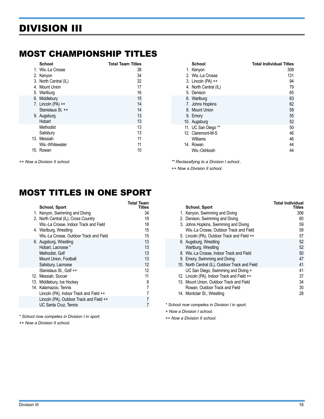#### <span id="page-17-0"></span>MOST CHAMPIONSHIP TITLES

| School                | <b>Total Team Titles</b> |
|-----------------------|--------------------------|
| 1. Wis.-La Crosse     | 38                       |
| 2. Kenyon             | 34                       |
| 3. North Central (IL) | 32                       |
| 4. Mount Union        | 17                       |
| 5. Wartburg           | 16                       |
| 6. Middlebury         | 15                       |
| 7. Lincoln $(PA)$ ++  | 14                       |
| Stanislaus St. ++     | 14                       |
| 9. Augsburg           | 13                       |
| Hobart                | 13                       |
| Methodist             | 13                       |
| Salisbury             | 13                       |
| 13. Messiah           | 11                       |
| Wis.-Whitewater       | 11                       |
| 15. Rowan             | 10                       |

*++ Now a Division II school.*

#### **School Total Individual Titles** 1. Kenyon 308<br>2. Wis.-La Crosse 2. 2. 2. 2. 2. 2. 2. 2. 2. 3. 131 2. Wis.-La Crosse 3. Lincoln (PA) ++ 94<br>4. North Central (IL) 79 4. North Central (IL) 5. Denison 65<br>6. Wartburg - Carl Communication 65<br>63 6. Wartburg 7. Johns Hopkins 62<br>1991 - B. Mount Union 62<br>1991 - Samuel Barbara, 1992 - San Francisco 62 8. Mount Union 9. Emory 55 10. Augsburg 52 11. UC San Diego \*\* 50 12. Claremont-M-S 46<br>
Williams 46 Williams 14. Rowan 44 Wis.-Oshkosh

*\*\* Reclassifying to a Division I school..*

*++ Now a Division II school.*

### MOST TITLES IN ONE SPORT

| School, Sport                            | Total Team<br>Titles |
|------------------------------------------|----------------------|
| 1. Kenyon, Swimming and Diving           | 34                   |
| 2. North Central (IL), Cross Country     | 19                   |
| Wis.-La Crosse, Indoor Track and Field   | 18                   |
| 4. Wartburg, Wrestling                   | 15                   |
| Wis.-La Crosse, Outdoor Track and Field  | 15                   |
| 6. Augsburg, Wrestling                   | 13                   |
| Hobart, Lacrosse *                       | 13                   |
| Methodist, Golf                          | 13                   |
| Mount Union, Football                    | 13                   |
| Salisbury, Lacrosse                      | 12                   |
| Stanislaus St., Golf ++                  | 12                   |
| 12. Messiah, Soccer                      | 11                   |
| 13. Middlebury, Ice Hockey               | 8                    |
| 14. Kalamazoo. Tennis                    | 7                    |
| Lincoln (PA), Indoor Track and Field ++  |                      |
| Lincoln (PA), Outdoor Track and Field ++ |                      |
| UC Santa Cruz, Tennis                    |                      |

*\* School now competes in Division I in sport.*

*++ Now a Division II school.*

| <b>School, Sport</b>                            | <b>Total Individual</b><br>Titles |
|-------------------------------------------------|-----------------------------------|
| 1. Kenyon, Swimming and Diving                  | 306                               |
| 2. Denison, Swimming and Diving                 | 60                                |
| 3. Johns Hopkins, Swimming and Diving           | 59                                |
| Wis.-La Crosse, Outdoor Track and Field         | 59                                |
| 5. Lincoln (PA), Outdoor Track and Field ++     | 57                                |
| 6. Augsburg, Wrestling                          | 52                                |
| Wartburg, Wrestling                             | 52                                |
| 8. Wis.-La Crosse, Indoor Track and Field       | 50                                |
| 9. Emory, Swimming and Diving                   | 47                                |
| 10. North Central (IL), Outdoor Track and Field | 41                                |
| UC San Diego, Swimming and Diving +             | 41                                |
| 12. Lincoln (PA), Indoor Track and Field ++     | 37                                |
| 13. Mount Union, Outdoor Track and Field        | 34                                |
| Rowan, Outdoor Track and Field                  | 30                                |
| 14. Montclair St., Wrestling                    | 28                                |
|                                                 |                                   |

*\* School now competes in Division I in sport.*

*+ Now a Division I school.*

*++ Now a Division II school.*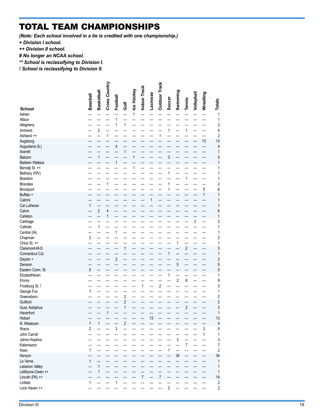### TOTAL TEAM CHAMPIONSHIPS

*(Note: Each school involved in a tie is credited with one championship.)* 

*+ Division I school.*

*++ Division II school.*

*# No longer an NCAA school.*

*\*\* School is reclassifying to Division I.* 

*! School is reclassifying to Division II.*

|                                          | <b>Baseball</b> | <b>Basketball</b>       | Cross Country           | Football       |                | Ice Hockey   | Indoor Track   | <b>Lacrosse</b> | <b>Outdoor Track</b> |                | Swimming       |                         | Volleyball     | Wrestling    |                               |
|------------------------------------------|-----------------|-------------------------|-------------------------|----------------|----------------|--------------|----------------|-----------------|----------------------|----------------|----------------|-------------------------|----------------|--------------|-------------------------------|
| <b>School</b>                            |                 |                         |                         |                | Golf           |              |                |                 |                      | Soccer         |                | Tennis                  |                |              | <b>Totals</b>                 |
| Adrian                                   |                 |                         |                         |                |                | $\mathbf{1}$ |                |                 |                      |                |                |                         |                |              | 1                             |
| Albion                                   |                 |                         |                         | 1              |                |              |                |                 |                      |                |                |                         |                |              | 1                             |
| Allegheny                                |                 | $\overline{\mathbf{c}}$ |                         | 1              | 1              |              |                |                 |                      | 1              |                | 1                       |                |              | $\overline{c}$                |
| Amherst<br>Ashland ++                    |                 |                         | $\mathbf{1}$            |                |                |              |                |                 | 1                    |                |                |                         |                |              | 4<br>$\sqrt{2}$               |
| Augsburg                                 |                 |                         |                         |                |                |              |                |                 |                      |                |                |                         |                | 13           | 13                            |
| Augustana (IL)                           |                 |                         |                         | 4              |                |              |                |                 |                      |                |                |                         |                |              | 4                             |
| Averett                                  |                 |                         |                         |                | 1              |              |                |                 |                      |                |                |                         |                |              | 1                             |
| Babson                                   |                 | $\mathbf{1}$            |                         |                |                | $\mathbf{1}$ |                |                 |                      | 3              |                |                         |                |              | 5                             |
| <b>Baldwin Wallace</b><br>Bemidji St. ++ |                 |                         |                         | 1              |                | 1            |                |                 |                      |                |                |                         |                |              | 1<br>1                        |
| Bethany (WV)                             |                 |                         |                         |                |                |              |                |                 |                      | $\mathbf{1}$   |                |                         |                |              | 1                             |
| Bowdoin                                  |                 |                         |                         |                |                |              |                |                 |                      |                |                | 1                       |                |              | 1                             |
| <b>Brandeis</b>                          |                 |                         | $\mathbf 1$             |                |                |              |                |                 |                      | $\mathbf{1}$   |                |                         |                |              | $\overline{2}$                |
| Brockport                                |                 |                         |                         |                |                |              |                |                 |                      | 1              |                |                         |                | 5            | 6                             |
| Buffalo +                                |                 |                         |                         |                |                |              |                |                 |                      |                |                |                         |                | $\mathbf{1}$ | 1                             |
| Cabrini<br>Cal Lutheran                  | $\mathbf{1}$    |                         |                         |                |                |              |                | $\mathbf{1}$    |                      |                |                |                         |                |              | 1<br>1                        |
| Calvin                                   |                 | $\overline{\mathbf{c}}$ | $\overline{\mathbf{4}}$ |                |                |              |                |                 |                      |                |                |                         |                |              | 6                             |
| Carleton                                 |                 |                         | $\mathbf{1}$            |                |                |              |                |                 |                      |                |                |                         |                |              | 1                             |
| Carthage                                 |                 |                         |                         |                |                |              |                |                 |                      |                |                |                         | $\overline{c}$ |              | 2                             |
| Catholic                                 |                 | $\mathbf{1}$            |                         |                |                |              |                |                 |                      |                |                |                         |                |              | 1                             |
| Central (IA)                             |                 |                         |                         | 1              |                |              |                |                 |                      |                |                |                         |                |              | 1                             |
| Chapman                                  | $\sqrt{2}$      |                         |                         |                |                |              |                |                 |                      |                | $\mathbf{1}$   |                         |                |              | $\sqrt{2}$                    |
| Chico St. ++<br>Claremont-M-S            |                 |                         |                         |                | 1              |              |                |                 |                      |                |                | $\overline{c}$          |                |              | 1<br>3                        |
| Connecticut Col.                         |                 |                         |                         |                |                |              |                |                 |                      | 1              |                |                         |                |              | $\mathbf{1}$                  |
| Dayton +                                 |                 |                         |                         | $\overline{c}$ |                |              |                |                 |                      |                |                |                         |                |              | $\overline{\mathbf{c}}$       |
| Denison                                  |                 |                         |                         |                |                |              |                |                 |                      |                | 5              |                         |                |              | 5                             |
| Eastern Conn. St.                        | $\overline{5}$  |                         |                         |                |                |              |                |                 |                      |                |                |                         |                |              | 5                             |
| Elizabethtown                            |                 |                         |                         |                |                |              |                |                 |                      | 1              |                |                         |                |              | 1                             |
| Emory<br>Frostburg St. !                 |                 |                         |                         |                |                |              | 1              |                 | $\overline{2}$       |                | $\sqrt{2}$     | 6                       |                |              | 8<br>3                        |
| George Fox                               | $\mathbf{1}$    |                         |                         |                |                |              |                |                 |                      |                |                |                         |                |              | 1                             |
| Greensboro                               |                 |                         |                         |                | $\overline{c}$ |              |                |                 |                      |                |                |                         |                |              | $\overline{\mathbf{c}}$       |
| Guilford                                 |                 |                         |                         |                | $\overline{2}$ |              |                |                 |                      |                |                |                         |                |              | $\sqrt{2}$                    |
| Gust. Adolphus                           |                 |                         |                         |                | 1              |              |                |                 |                      |                |                | $\overline{\mathbf{c}}$ |                |              | 3                             |
| Haverford                                |                 |                         | 1                       |                |                |              |                |                 |                      |                |                |                         |                |              | $\overline{1}$                |
| Hobart<br>III. Wesleyan                  | $\mathbf{1}$    | $\mathbf{1}$            |                         |                | $\sqrt{2}$     |              |                | 13              |                      |                |                |                         |                |              | 13<br>$\overline{\mathbf{4}}$ |
| Ithaca                                   | $\overline{2}$  |                         |                         | $\mathsf 3$    |                |              |                |                 |                      |                |                |                         |                | 3            | 8                             |
| John Carroll                             |                 |                         |                         |                |                |              |                |                 |                      |                |                |                         |                | $\mathbf{1}$ | 1                             |
| Johns Hopkins                            |                 |                         |                         |                |                |              |                |                 |                      |                | $\overline{3}$ |                         |                |              | 3                             |
| Kalamazoo                                |                 |                         |                         |                |                |              |                |                 |                      |                |                | $\overline{7}$          |                |              | $\overline{7}$                |
| Kean                                     | $\mathbf{1}$    |                         |                         |                |                |              |                |                 |                      | $\mathbf{1}$   |                |                         |                |              | $\sqrt{2}$                    |
| Kenyon<br>La Verne                       | $\mathbf{1}$    |                         |                         |                |                |              |                |                 |                      |                | 34             |                         |                |              | 34                            |
| Lebanon Valley                           |                 | $\mathbf{1}$            |                         |                |                |              |                |                 |                      |                |                |                         |                |              | 1<br>1                        |
| LeMoyne-Owen ++                          |                 | $\mathbf{1}$            |                         |                |                |              |                |                 |                      |                |                |                         |                |              | $\mathbf{1}$                  |
| Lincoln (PA) ++                          |                 |                         |                         |                |                |              | $\overline{7}$ |                 | $\overline{7}$       |                |                |                         |                |              | 14                            |
| Linfield                                 | $\mathbf{1}$    |                         |                         | $\mathbf{1}$   |                |              |                |                 |                      |                |                |                         |                |              | $\sqrt{2}$                    |
| Lock Haven ++                            |                 |                         |                         |                |                |              |                |                 |                      | $\overline{2}$ |                |                         |                |              | $\overline{2}$                |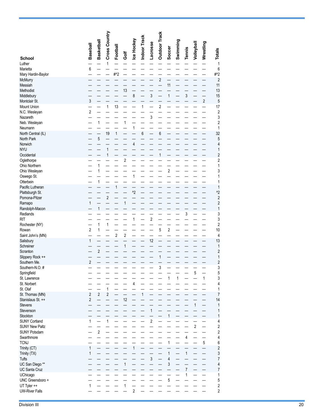|                                      |                              |                         | Cross Country  |                |                         |                    |              |                                            | <b>Outdoor Track</b> |                |          |                |              |            |                                  |
|--------------------------------------|------------------------------|-------------------------|----------------|----------------|-------------------------|--------------------|--------------|--------------------------------------------|----------------------|----------------|----------|----------------|--------------|------------|----------------------------------|
|                                      | <b>Baseball</b>              | Basketball              |                | Football       |                         | Ice Hockey         | Indoor Track | <b>Lacrosse</b>                            |                      | Soccer         | Swimming | Tennis         | Volleyball   | Wrestling  |                                  |
| <b>School</b>                        |                              |                         |                |                | ā                       |                    |              |                                            |                      |                |          |                |              |            | <b>Totals</b>                    |
| Luther<br>Marietta                   | 6                            |                         | 1              |                |                         |                    |              |                                            |                      |                |          |                |              |            | 1<br>6                           |
| Mary Hardin-Baylor                   |                              |                         |                | #^2            |                         |                    |              |                                            |                      |                |          |                |              |            | #^2                              |
| McMurry<br>Messiah                   |                              |                         |                |                |                         |                    |              |                                            | $\overline{c}$       | 11             |          |                |              |            | $\overline{c}$<br>11             |
| Methodist                            |                              |                         |                |                | 13                      |                    |              |                                            |                      |                |          |                |              |            | 13                               |
| Middlebury<br>Montclair St.          | 3                            |                         |                |                |                         | $\bf 8$            |              | 3                                          |                      | $\mathbf{1}$   |          | 3              |              | $\sqrt{2}$ | 15<br>5                          |
| Mount Union                          |                              |                         | 1              | 13             |                         |                    | 1            |                                            | $\overline{c}$       |                |          |                |              |            | 17                               |
| N.C. Wesleyan<br>Nazareth            | $\sqrt{2}$                   |                         |                |                |                         |                    |              | 3                                          |                      |                |          |                |              |            | 2<br>3                           |
| Neb. Wesleyan                        |                              | $\mathbf{1}$            |                |                | 1                       |                    |              |                                            |                      |                |          |                |              |            | $\overline{2}$                   |
| Neumann<br>North Central (IL)        |                              |                         | 19             | $\mathbf{1}$   |                         | 1                  | 6            | $\overline{\phantom{0}}$                   | 6                    |                |          |                |              |            | 1<br>32                          |
| North Park                           |                              | 5                       |                |                |                         |                    |              |                                            |                      |                |          |                |              |            | 5                                |
| Norwich<br><b>NYU</b>                |                              |                         | $\mathbf{1}$   |                |                         | 4                  |              |                                            |                      |                |          |                |              |            | 4<br>1                           |
| Occidental                           |                              |                         | $\mathbf{1}$   |                |                         |                    |              |                                            | $\mathbf{1}$         |                |          |                |              |            | $\overline{c}$                   |
| Oglethorpe                           |                              |                         |                |                | $\overline{c}$          |                    |              |                                            |                      |                |          |                |              |            | 2                                |
| Ohio Northern<br>Ohio Wesleyan       |                              | 1<br>1                  |                |                |                         |                    |              |                                            |                      | $\overline{c}$ |          |                |              |            | 1<br>3                           |
| Oswego St.                           |                              |                         |                |                |                         | $\mathbf{1}$       |              |                                            |                      |                |          |                |              |            | 1                                |
| Otterbein<br>Pacific Lutheran        |                              | 1                       |                | 1              |                         |                    |              |                                            |                      |                |          |                |              |            | 1<br>1                           |
| Plattsburgh St.                      |                              |                         |                |                |                         | $^{\prime\prime}2$ |              |                                            |                      |                |          |                |              |            | $^{\prime}2$                     |
| Pomona-Pitzer<br>Ramapo              | 1                            |                         | $\overline{c}$ |                | 1                       |                    |              |                                            |                      |                |          |                |              |            | $\overline{c}$<br>$\overline{c}$ |
| Randolph-Macon                       |                              | $\mathbf{1}$            |                |                |                         |                    |              |                                            |                      |                |          |                |              |            | 1                                |
| Redlands<br><b>RIT</b>               |                              |                         |                |                |                         | $\mathbf{1}$       |              | $\overline{\mathbf{c}}$                    |                      |                |          | 3              |              |            | 3<br>3                           |
| Rochester (NY)                       |                              | $\mathbf{1}$            | $\mathbf{1}$   |                |                         |                    |              |                                            |                      |                |          |                |              |            | 2                                |
| Rowan<br>Saint John's (MN)           | $\overline{2}$               | 1                       |                | $\overline{2}$ | $\overline{\mathbf{c}}$ |                    |              |                                            | 5                    | 2              |          |                |              |            | 10<br>4                          |
| Salisbury                            | 1                            |                         |                |                |                         |                    |              | 12                                         |                      |                |          |                |              |            | 13                               |
| Schreiner<br>Scranton                |                              | $\overline{\mathbf{c}}$ |                |                | 1                       |                    |              |                                            |                      |                |          |                |              |            | 1<br>2                           |
| Slippery Rock ++                     |                              |                         |                |                |                         |                    |              |                                            | 1                    |                |          |                |              |            | 1                                |
| Southern Me.<br>Southern-N.O. #      | $\overline{2}$               |                         |                |                |                         |                    |              |                                            | 3                    |                |          |                |              |            | $\overline{c}$<br>3              |
| Springfield                          |                              |                         |                |                |                         |                    |              |                                            |                      |                |          |                | 5            |            | 5                                |
| St. Lawrence<br>St. Norbert          |                              |                         |                |                |                         | $\overline{4}$     |              |                                            |                      | 1              | 1        |                |              | 1          | 3<br>4                           |
| St. Olaf                             |                              |                         | $\mathbf{1}$   |                |                         |                    |              |                                            |                      |                |          |                |              |            | 1                                |
| St. Thomas (MN)<br>Stanislaus St. ++ | $\sqrt{2}$<br>$\overline{2}$ | $\overline{2}$          | $\overline{c}$ |                | 12                      |                    | $\mathbf{1}$ |                                            |                      |                |          |                |              |            | 7<br>14                          |
| <b>Stevens</b>                       |                              |                         |                |                |                         |                    |              |                                            |                      |                |          |                | $\mathbf{1}$ |            | 1                                |
| Stevenson<br>Stockton                |                              |                         |                |                |                         |                    |              | $\mathbf{1}$                               |                      | $\mathbf{1}$   |          |                |              |            | 1                                |
| <b>SUNY Cortland</b>                 | 1                            |                         | 1              |                |                         |                    |              | $\overline{\phantom{0}}$<br>$\overline{2}$ |                      |                |          |                |              |            | 1<br>4                           |
| <b>SUNY New Paltz</b>                |                              | $\overline{2}$          |                |                |                         |                    |              |                                            |                      |                |          |                | $\sqrt{2}$   |            | $\overline{c}$                   |
| <b>SUNY Potsdam</b><br>Swarthmore    |                              |                         |                |                |                         |                    |              |                                            |                      |                |          | 4              |              |            | $\overline{c}$<br>4              |
| <b>TCNJ</b>                          |                              |                         |                |                |                         |                    |              |                                            |                      | $\mathbf{1}$   |          |                |              | 5          | 6                                |
| Trinity (CT)<br>Trinity (TX)         | $\mathbf{1}$<br>1            |                         |                |                |                         | $\mathbf{1}$       |              |                                            |                      | 1              |          | 1              |              |            | $\overline{\mathbf{c}}$<br>3     |
| Tufts                                |                              |                         |                |                |                         |                    |              | $\overline{3}$                             |                      | 4              |          |                |              |            | 7                                |
| UC San Diego **<br>UC Santa Cruz     |                              |                         |                |                | $\mathbf{1}$            |                    |              |                                            |                      | 3              |          | $\overline{7}$ |              |            | 4<br>7                           |
| <b>UChicago</b>                      |                              |                         |                |                |                         |                    |              |                                            |                      |                |          | 1              |              |            | 1                                |
| UNC Greensboro +<br>UT Tyler ++      | 1                            |                         |                |                | 1                       |                    |              |                                            |                      | 5              |          |                |              |            | 5<br>$\boldsymbol{2}$            |
| <b>UW-River Falls</b>                |                              |                         |                |                |                         | $\overline{2}$     |              |                                            |                      |                |          |                |              |            | $\overline{2}$                   |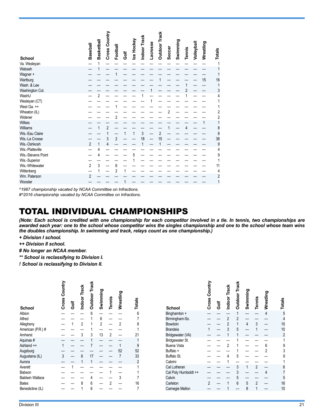|                                                                                                          |                                  |                | Cross Country                 |                     |      |            | Indoor Track |          | <b>Outdoor Track</b> |        |          |        |            |           |                                     |
|----------------------------------------------------------------------------------------------------------|----------------------------------|----------------|-------------------------------|---------------------|------|------------|--------------|----------|----------------------|--------|----------|--------|------------|-----------|-------------------------------------|
| <b>School</b><br>Va. Wesleyan                                                                            | Baseball                         | Basketball     |                               | Football            | Golf | Ice Hockey |              | Lacrosse |                      | Soccer | Swimming | Tennis | Volleyball | Wrestling | <b>Totals</b>                       |
| Wabash<br>Wagner +<br>Wartburg<br>Wash. & Lee<br>Washington Col.<br>WashU                                |                                  | $\overline{2}$ |                               |                     |      |            |              |          |                      |        |          |        |            | 15        | 16<br>1<br>3<br>4                   |
| Wesleyan (CT)<br>West Ga. ++<br>Wheaton (IL)<br>Widener                                                  |                                  |                |                               | 2                   |      |            |              |          |                      | 2      |          |        |            |           | 2<br>$\overline{2}$                 |
| <b>Wilkes</b><br>Williams<br>Wis.-Eau Claire<br>Wis.-La Crosse<br>Wis.-Oshkosh                           | $\overline{2}$                   | 1              | $\overline{2}$<br>1<br>3<br>4 | $\overline{2}$      |      | 1          | 3<br>18      |          | $\overline{2}$<br>15 |        |          |        |            |           | 8<br>8<br>38<br>9                   |
| Wis.-Platteville<br>Wis.-Stevens Point<br>Wis.-Superior<br>Wis.-Whitewater<br>Wittenberg<br>Wm. Paterson | $\overline{2}$<br>$\overline{2}$ | 4<br>4<br>3    |                               | 6<br>$\overline{2}$ |      | 5          |              |          |                      |        |          |        |            |           | 4<br>9<br>11<br>4<br>$\overline{2}$ |
| Wooster                                                                                                  |                                  |                |                               |                     |      |            |              |          |                      |        |          |        |            |           |                                     |

*^1987 championship vacated by NCAA Committee on Infractions.*

*#^2016 championship vacated by NCAA Committee on Infractions.*

#### TOTAL INDIVIDUAL CHAMPIONSHIPS

*(Note: Each school is credited with one championship for each competitor involved in a tie. In tennis, two championships are awarded each year: one to the school whose competitor wins the singles championship and one to the school whose team wins the doubles championship. In swimming and track, relays count as one championship.)* 

- *+ Division I school.*
- *++ Division II school.*
- *# No longer an NCAA member.*
- *\*\* School is reclassifying to Division I.*
- *! School is reclassifying to Division II.*

| <b>School</b>          | Cross Country | <b>Jose</b> | <b>Indoor Track</b> | Outdoor Track | Swimming | Tennis         | Wrestling      | Totals         |
|------------------------|---------------|-------------|---------------------|---------------|----------|----------------|----------------|----------------|
| Albion                 |               |             |                     | 6             |          |                |                | 6              |
| Alfred                 |               |             |                     |               | 6        |                |                | 7              |
| Allegheny              |               | 1           | $\overline{2}$      |               | 2        |                | $\overline{2}$ | 8              |
| American (P.R.) #      |               |             |                     |               |          |                |                |                |
| Amherst                |               |             | 3                   | 3             | 13       | $\overline{2}$ |                | 21             |
| Aquinas#               |               |             |                     | 1             |          |                |                |                |
| Ashland ++             | 1             |             |                     | 7             |          |                |                | 9              |
| Augsburg               |               |             |                     |               |          |                | 52             | 52             |
| Augustana (IL)         | 3             |             | 6                   | 17            |          |                | 7              | 33             |
| Aurora                 |               |             |                     | 1             |          |                |                | $\overline{2}$ |
| Averett                |               | 1           |                     |               |          |                |                |                |
| Babson                 |               |             |                     |               |          |                |                |                |
| <b>Baldwin Wallace</b> |               |             |                     | 4             |          |                | 3              |                |
| <b>Bates</b>           |               |             | 8                   | 6             |          | $\overline{2}$ |                | 16             |
| Benedictine (IL)       |               |             |                     | 6             |          |                |                | 7              |

|                      | Country        |    | Indoor Track   | <b>Outdoor Track</b> | Swimming       |                |                |        |
|----------------------|----------------|----|----------------|----------------------|----------------|----------------|----------------|--------|
| School               | Cross          | ទី |                |                      |                | <b>Tennis</b>  | Wrestling      | Totals |
| Binghamton +         |                |    |                | 1                    |                |                | $\overline{4}$ | 5      |
| Birmingham-So.       |                |    | $\overline{2}$ | $\overline{2}$       |                |                |                | 4      |
| Bowdoin              |                |    | 2              | 1                    | $\overline{4}$ | 3              |                | 10     |
| <b>Brandeis</b>      | 1              |    | 3              | 5                    |                | 1              |                | 10     |
| Bridgewater (VA)     |                |    | 1              | 1                    |                |                |                | 2      |
| Bridgewater St.      |                |    |                | 1                    |                |                |                | 1      |
| <b>Buena Vista</b>   |                |    | $\overline{2}$ | 1                    |                |                | 6              | 9      |
| Buffalo +            |                |    |                | 1                    |                |                | $\overline{2}$ | 3      |
| Buffalo St.          |                |    | 4              | 5                    |                |                |                | 9      |
| Cabrini              |                |    |                |                      |                |                |                | 1      |
| Cal Lutheran         |                |    |                | 3                    | 1              | $\overline{2}$ |                | 6      |
| Cal Poly Humboldt ++ |                |    |                | 3                    |                |                |                | 7      |
| Calvin               |                |    |                | 5                    |                |                |                | 5      |
| Carleton             | $\mathfrak{p}$ |    | 1              | 6                    | 5              | $\overline{2}$ |                | 16     |
| Carnegie Mellon      |                |    |                |                      | 8              | 1              |                | 10     |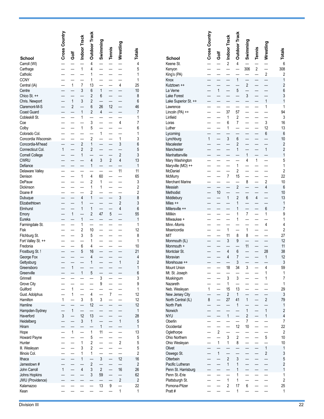|                                      | Cross Country            |                          | Indoor Track             | <b>Outdoor Track</b>             | Swimming                 | Tennis         | Wrestling           | Totals                       |
|--------------------------------------|--------------------------|--------------------------|--------------------------|----------------------------------|--------------------------|----------------|---------------------|------------------------------|
| School                               |                          | Ğ<br>Gof                 |                          |                                  |                          |                |                     |                              |
| Carroll (WI)                         |                          |                          |                          | 4                                |                          |                |                     | $\overline{4}$               |
| Carthage                             |                          |                          | $\overline{1}$           | 4                                |                          |                |                     | 5                            |
| Catholic                             |                          |                          |                          | 1                                |                          |                |                     | 1                            |
| <b>CCNY</b>                          |                          |                          |                          | 1                                |                          |                | $\overline{4}$      | $\mathbf{1}$                 |
| Central (IA)<br>Centre               | $\overline{a}$           | $\mathbf{1}$             | $\overline{7}$<br>3      | 13<br>6                          | $\mathbf{1}$             | $\overline{a}$ |                     | 25<br>10                     |
| Chico St. ++                         |                          |                          |                          | $\overline{c}$                   | 6                        |                |                     | 8                            |
| Chris. Newport                       |                          | $\mathbf{1}$             | 3                        | $\overline{2}$                   |                          |                |                     | 6                            |
| Claremont-M-S                        |                          | $\overline{c}$           |                          | 6                                | 26                       | 12             |                     | 46                           |
| <b>Coast Guard</b>                   |                          |                          | $\mathbf{1}$             | $\overline{2}$                   | $\overline{4}$           |                |                     | 7                            |
| Cobleskill St.                       |                          |                          | 1                        |                                  |                          |                |                     | 1                            |
| Coe                                  |                          |                          |                          | 3                                |                          |                | $\overline{4}$      | 7                            |
| Colby                                |                          |                          | $\mathbf{1}$             | 5                                |                          |                |                     | 6                            |
| Colorado Col.                        |                          |                          |                          |                                  | $\mathbf 1$              |                |                     | 1                            |
| Concordia Wisconsin                  | $\overline{\phantom{0}}$ | $\overline{\phantom{0}}$ | $\overline{2}$           | $\overline{c}$<br>$\overline{1}$ | $\overline{\phantom{0}}$ | $\overline{a}$ | $\mathbf{1}$<br>3   | 3                            |
| Concordia-M'head<br>Connecticut Col. | $\mathbf{1}$             |                          | $\overline{c}$           | $\overline{c}$                   |                          |                |                     | 6<br>5                       |
| <b>Cornell College</b>               |                          |                          | 1                        |                                  |                          |                | $\overline{c}$      | 3                            |
| <b>CWRU</b>                          |                          |                          |                          | $\overline{4}$                   | 3                        | $\overline{2}$ | 4                   | 13                           |
| Defiance                             |                          |                          |                          | 1                                |                          |                |                     | 1                            |
| Delaware Valley                      |                          |                          |                          |                                  |                          |                | 11                  | 11                           |
| Denison                              |                          |                          | $\mathbf{1}$             | 4                                | 60                       |                |                     | 65                           |
| DePauw                               |                          |                          |                          | $\overline{2}$                   | 1                        |                |                     | 3                            |
| Dickinson                            |                          |                          |                          | 1                                | 1                        |                |                     | $\overline{c}$               |
| Doane#                               |                          |                          |                          | $\overline{c}$                   |                          |                |                     | $\overline{2}$               |
| Dubuque                              |                          |                          | $\overline{4}$<br>1      | 1                                |                          |                | 3<br>$\overline{2}$ | 8<br>3                       |
| Elizabethtown<br>Elmhurst            |                          |                          | 1                        | $\mathbf{1}$                     |                          |                | $\overline{4}$      | 6                            |
| Emory                                |                          | $\mathbf{1}$             |                          | $\overline{c}$                   | 47                       | 5              |                     | 55                           |
| Eureka                               |                          |                          | $\mathbf{1}$             |                                  |                          |                |                     | 1                            |
| Farmingdale St.                      |                          |                          | 1                        |                                  |                          |                |                     | $\mathbf{1}$                 |
| Fisk                                 |                          |                          | $\overline{c}$           | 10                               |                          |                |                     | 12                           |
| Fitchburg St.                        |                          |                          | 3                        | 5                                |                          |                |                     | 8                            |
| Fort Valley St. ++                   | $\overline{a}$           |                          |                          | 1                                |                          |                |                     | $\mathbf{1}$                 |
| Fredonia                             |                          |                          | 6                        | 4                                |                          |                |                     | 10                           |
| Frostburg St. !<br>George Fox        |                          |                          | 5                        | 16<br>4                          |                          |                |                     | 21<br>4                      |
| Gettysburg                           |                          |                          |                          | 1                                |                          |                | $\mathbf{1}$        | $\overline{c}$               |
| Greensboro                           |                          | $\mathbf{1}$             |                          |                                  |                          |                |                     | $\mathbf{1}$                 |
| Greenville                           |                          |                          | 1                        | 5                                |                          |                |                     | 6                            |
| Grinnell                             |                          |                          |                          |                                  | 3                        |                |                     | 3                            |
| <b>Grove City</b>                    |                          |                          |                          |                                  | 9                        |                |                     | 9                            |
| Guilford                             |                          | 1                        |                          |                                  |                          |                |                     | 1                            |
| Gust. Adolphus                       |                          | 1                        |                          | 4                                |                          | 7              |                     | 12                           |
| Hamilton<br>Hamline                  | 1                        |                          | 3                        | 5<br>12                          | 3<br>—                   |                |                     | 12<br>12                     |
| Hampden-Sydney                       |                          | $\mathbf{1}$             | —                        |                                  |                          |                |                     | $\mathbf{1}$                 |
| Haverford                            | 3                        |                          | 12                       | 13                               |                          |                |                     | 28                           |
| Heidelberg                           |                          |                          | 3                        | $\mathbf{1}$                     | $\overline{\phantom{0}}$ |                | $\mathbf{1}$        | 5                            |
| Hiram                                |                          |                          |                          |                                  | $\mathbf{1}$             |                |                     | $\mathbf{1}$                 |
| Hope                                 |                          | 1                        |                          | 1                                | 11                       |                |                     | 13                           |
| <b>Howard Payne</b>                  |                          |                          | $\overline{\phantom{0}}$ | 5                                |                          |                |                     | 5                            |
| Hunter                               |                          |                          | $\mathbf 1$              | $\overline{c}$                   |                          |                | $\overline{2}$      | 5                            |
| III. Wesleyan                        |                          |                          | 3<br>1                   | $\overline{2}$<br>1              |                          |                |                     | 5<br>$\overline{\mathbf{c}}$ |
| Illinois Col.<br>Ithaca              |                          |                          | $\mathbf{1}$             |                                  | 3                        |                | 12                  | 16                           |
| Jamestown #                          |                          |                          |                          | $\overline{\mathbf{c}}$          |                          |                |                     | $\overline{\mathbf{c}}$      |
| John Carroll                         | 1                        |                          | 4                        | 3                                | $\overline{\mathbf{c}}$  |                | 16                  | 26                           |
| Johns Hopkins                        |                          |                          |                          | 3                                | 59                       |                |                     | 62                           |
| JWU (Providence)                     |                          |                          |                          |                                  |                          |                | $\overline{2}$      | $\overline{2}$               |
| Kalamazoo                            |                          |                          |                          |                                  | 13                       | 9              |                     | 22                           |
| Kean                                 |                          |                          |                          |                                  |                          |                | $\mathbf 1$         | 1                            |

|                                  | Cross Country            |                         |                           | <b>Outdoor Track</b>          |                                  |                          |                          |                                |
|----------------------------------|--------------------------|-------------------------|---------------------------|-------------------------------|----------------------------------|--------------------------|--------------------------|--------------------------------|
|                                  |                          |                         | <sup>2</sup> Indoor Track |                               | Swimming                         |                          | Wrestling                |                                |
| School                           |                          | ă                       |                           |                               |                                  | Tennis                   |                          | Totals                         |
| Keene St.                        |                          |                         |                           | $\overline{4}$                |                                  |                          |                          | 6                              |
| Kenyon                           |                          |                         |                           |                               | 306                              | $\overline{2}$           |                          | 308                            |
| King's (PA)                      | $\overline{\phantom{0}}$ |                         |                           |                               |                                  |                          | $\overline{c}$           | $\overline{2}$                 |
| Knox<br>Kutztown ++              |                          |                         |                           | $\mathbf{1}$                  | $\overline{a}$<br>$\overline{c}$ | $\overline{\phantom{a}}$ | $\overline{\phantom{0}}$ | $\mathbf{1}$<br>$\overline{c}$ |
| La Verne                         | $\overline{\phantom{0}}$ | $\mathbf{1}$            |                           | 5                             | $\overline{\phantom{0}}$         |                          |                          | 6                              |
| Lake Forest                      |                          |                         |                           |                               | 3                                |                          |                          | 3                              |
| Lake Superior St. ++             |                          |                         |                           |                               |                                  |                          | $\overline{1}$           | $\mathbf{1}$                   |
| Lawrence                         |                          |                         |                           |                               |                                  |                          | $\mathbf{1}$             | 1                              |
| Lincoln (PA) ++<br>Linfield      |                          |                         | 37<br>1                   | 57<br>$\overline{\mathbf{c}}$ |                                  |                          |                          | 94<br>3                        |
| Loras                            |                          |                         | 6                         | $\overline{7}$                |                                  |                          | 3                        | 16                             |
| Luther                           |                          |                         | 1                         |                               |                                  |                          | 12                       | 13                             |
| Lycoming                         | $\overline{a}$           |                         |                           |                               |                                  |                          | 6                        | 6                              |
| Lynchburg                        | $\mathbf{1}$             |                         | 3                         | 6                             |                                  |                          |                          | 10                             |
| Macalester                       |                          |                         |                           | $\overline{c}$                |                                  |                          |                          | $\overline{c}$                 |
| Manchester<br>Manhattanville     |                          |                         |                           | 1                             | $\mathbf{1}$                     |                          | $\mathbf{1}$             | $\overline{c}$<br>$\mathbf{1}$ |
| Mary Washington                  |                          |                         |                           |                               | $\overline{4}$                   | $\mathbf{1}$             |                          | 5                              |
| Maryville (MO) ++                |                          |                         |                           | $\mathbf{1}$                  |                                  |                          |                          | 1                              |
| McDaniel                         |                          |                         |                           | $\overline{2}$                |                                  |                          |                          | $\overline{2}$                 |
| McMurry                          |                          |                         | $\overline{7}$            | 15                            |                                  |                          |                          | 22                             |
| <b>Merchant Marine</b>           |                          |                         |                           |                               | 8                                |                          | $\overline{c}$           | 10                             |
| Messiah<br>Methodist             |                          | 10                      |                           | $\overline{c}$                |                                  |                          | $\overline{4}$           | 6<br>10                        |
| Middlebury                       |                          |                         | $\mathbf{1}$              | $\overline{2}$                | 6                                | $\overline{4}$           |                          | 13                             |
| Miles ++                         |                          |                         |                           | 1                             |                                  |                          |                          | $\mathbf{1}$                   |
| Millersville ++                  |                          |                         |                           | 1                             |                                  |                          | 6                        | $\overline{7}$                 |
| Millikin                         |                          |                         |                           | 1                             | $\overline{7}$                   |                          | 1                        | 9                              |
| Milwaukee +                      |                          |                         |                           | 1                             |                                  |                          |                          | 1                              |
| Minn.-Morris<br>Misericordia     |                          |                         | $\mathbf{1}$              |                               | $\mathbf 1$                      |                          | $\overline{4}$           | 4<br>$\overline{c}$            |
| MIT                              |                          |                         | 11                        | 8                             | 8                                |                          |                          | 27                             |
| Monmouth (IL)                    | i.                       |                         | 3                         | 9                             |                                  |                          |                          | 12                             |
| Monmouth +                       |                          |                         |                           |                               | 11                               | $\overline{\phantom{0}}$ |                          | 11                             |
| Montclair St.                    |                          |                         | $\overline{4}$            | 6                             |                                  |                          | 28                       | 38                             |
| Moravian                         |                          |                         | $\overline{4}$            | 7<br>3                        |                                  |                          | $\mathbf{1}$             | 12                             |
| Morehouse<br>Mount Union         |                          |                         | 18                        | 34                            | 3                                |                          | 4                        | 3<br>59                        |
| Mt. St. Joseph                   |                          |                         |                           |                               |                                  |                          | 1                        | 1                              |
| Muskingum                        |                          |                         | 3                         | 3                             |                                  |                          | $\mathbf{1}$             | 7                              |
| Nazareth                         |                          |                         | 1                         |                               |                                  |                          |                          | 1                              |
| Neb. Wesleyan                    | $\mathbf 1$              |                         | 15                        | 13                            |                                  |                          |                          | 29                             |
| New Jersey City                  |                          |                         | 2                         | 1                             |                                  |                          |                          | 3                              |
| North Central (IL)<br>North Park | 8                        |                         | 27                        | 41<br>$\mathbf{1}$            | 1                                |                          | $\overline{\mathbf{c}}$  | 79<br>1                        |
| Norwich                          |                          |                         |                           |                               | 1                                |                          | $\mathbf{1}$             | $\overline{\mathbf{c}}$        |
| <b>NYU</b>                       |                          |                         | $\mathbf{1}$              |                               | $\overline{\mathbf{c}}$          |                          | 1                        | 4                              |
| Oberlin                          |                          |                         |                           |                               | 7                                |                          |                          | 7                              |
| Occidental                       |                          |                         |                           | 12                            | 10                               |                          |                          | 22                             |
| Oglethorpe<br>Ohio Northern      |                          | $\overline{\mathbf{c}}$ | 3                         | 2                             |                                  |                          | 5                        | 2<br>10                        |
| Ohio Wesleyan                    |                          | 1                       | 1                         | 8                             |                                  |                          |                          | 10                             |
| Olivet                           | $\overline{\phantom{0}}$ |                         |                           |                               |                                  |                          | $\mathbf{1}$             | 1                              |
| Oswego St.                       |                          | $\mathbf{1}$            |                           |                               |                                  |                          | $\overline{\mathbf{c}}$  | 3                              |
| Otterbein                        |                          |                         | $\overline{\mathbf{c}}$   | 3                             |                                  |                          |                          | 5                              |
| Pacific Lutheran                 |                          |                         | $\mathbf{1}$              | 1                             |                                  |                          |                          | $\overline{c}$                 |
| Penn St. Harrisburg              |                          |                         |                           | 1                             |                                  |                          |                          | $\mathbf{1}$                   |
| Penn St.-Erie<br>Plattsburgh St. |                          |                         | $\mathbf 1$               | 1<br>1                        |                                  |                          |                          | 1<br>$\overline{c}$            |
| Pomona-Pitzer                    |                          |                         | $\overline{2}$            | 17                            | 6                                |                          |                          | 25                             |
| Pratt #                          |                          |                         |                           | 1                             |                                  |                          |                          | 1                              |